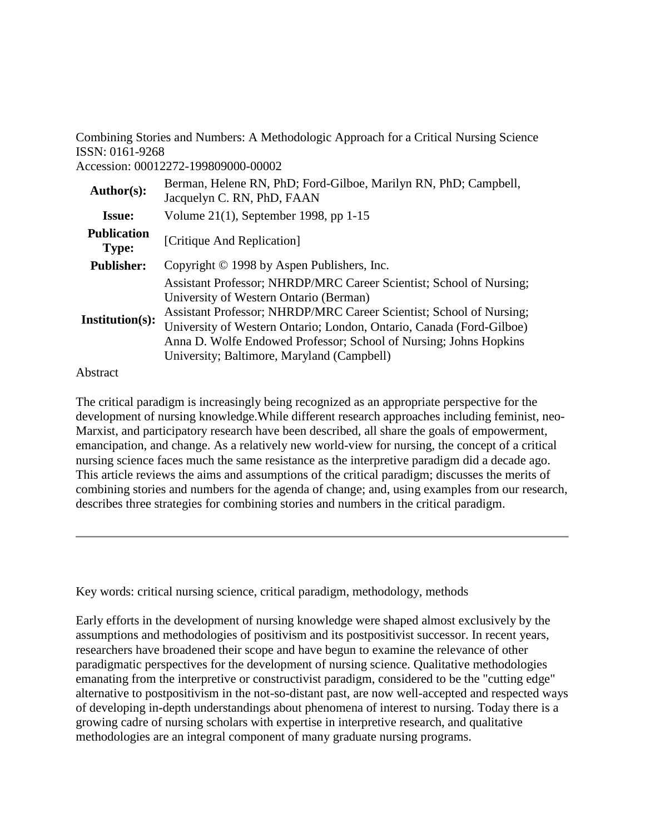Combining Stories and Numbers: A Methodologic Approach for a Critical Nursing Science ISSN: 0161-9268

Accession: 00012272-199809000-00002

| Author(s):                         | Berman, Helene RN, PhD; Ford-Gilboe, Marilyn RN, PhD; Campbell,<br>Jacquelyn C. RN, PhD, FAAN                                                                                                                                                                                                                                                                                   |
|------------------------------------|---------------------------------------------------------------------------------------------------------------------------------------------------------------------------------------------------------------------------------------------------------------------------------------------------------------------------------------------------------------------------------|
| <b>Issue:</b>                      | Volume 21(1), September 1998, pp 1-15                                                                                                                                                                                                                                                                                                                                           |
| <b>Publication</b><br><b>Type:</b> | [Critique And Replication]                                                                                                                                                                                                                                                                                                                                                      |
| <b>Publisher:</b>                  | Copyright $\odot$ 1998 by Aspen Publishers, Inc.                                                                                                                                                                                                                                                                                                                                |
| <b>Institution(s):</b>             | Assistant Professor; NHRDP/MRC Career Scientist; School of Nursing;<br>University of Western Ontario (Berman)<br>Assistant Professor; NHRDP/MRC Career Scientist; School of Nursing;<br>University of Western Ontario; London, Ontario, Canada (Ford-Gilboe)<br>Anna D. Wolfe Endowed Professor; School of Nursing; Johns Hopkins<br>University; Baltimore, Maryland (Campbell) |

#### Abstract

The critical paradigm is increasingly being recognized as an appropriate perspective for the development of nursing knowledge.While different research approaches including feminist, neo-Marxist, and participatory research have been described, all share the goals of empowerment, emancipation, and change. As a relatively new world-view for nursing, the concept of a critical nursing science faces much the same resistance as the interpretive paradigm did a decade ago. This article reviews the aims and assumptions of the critical paradigm; discusses the merits of combining stories and numbers for the agenda of change; and, using examples from our research, describes three strategies for combining stories and numbers in the critical paradigm.

Key words: critical nursing science, critical paradigm, methodology, methods

Early efforts in the development of nursing knowledge were shaped almost exclusively by the assumptions and methodologies of positivism and its postpositivist successor. In recent years, researchers have broadened their scope and have begun to examine the relevance of other paradigmatic perspectives for the development of nursing science. Qualitative methodologies emanating from the interpretive or constructivist paradigm, considered to be the "cutting edge" alternative to postpositivism in the not-so-distant past, are now well-accepted and respected ways of developing in-depth understandings about phenomena of interest to nursing. Today there is a growing cadre of nursing scholars with expertise in interpretive research, and qualitative methodologies are an integral component of many graduate nursing programs.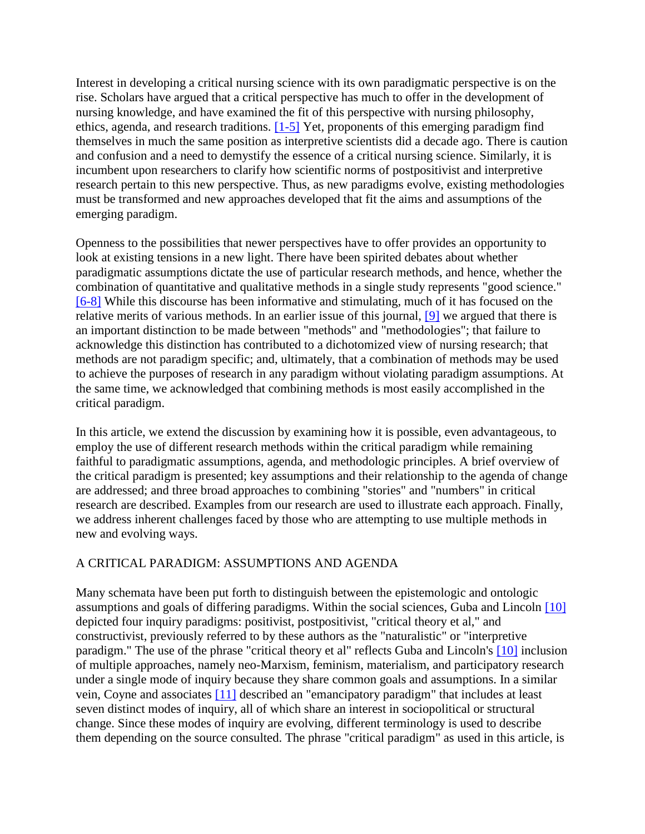Interest in developing a critical nursing science with its own paradigmatic perspective is on the rise. Scholars have argued that a critical perspective has much to offer in the development of nursing knowledge, and have examined the fit of this perspective with nursing philosophy, ethics, agenda, and research traditions. [\[1-5\]](http://ovidsp.tx.ovid.com.proxy2.lib.uwo.ca:2048/spb/ovidweb.cgi#94) Yet, proponents of this emerging paradigm find themselves in much the same position as interpretive scientists did a decade ago. There is caution and confusion and a need to demystify the essence of a critical nursing science. Similarly, it is incumbent upon researchers to clarify how scientific norms of postpositivist and interpretive research pertain to this new perspective. Thus, as new paradigms evolve, existing methodologies must be transformed and new approaches developed that fit the aims and assumptions of the emerging paradigm.

Openness to the possibilities that newer perspectives have to offer provides an opportunity to look at existing tensions in a new light. There have been spirited debates about whether paradigmatic assumptions dictate the use of particular research methods, and hence, whether the combination of quantitative and qualitative methods in a single study represents "good science." [\[6-8\]](http://ovidsp.tx.ovid.com.proxy2.lib.uwo.ca:2048/spb/ovidweb.cgi#99) While this discourse has been informative and stimulating, much of it has focused on the relative merits of various methods. In an earlier issue of this journal, [\[9\]](http://ovidsp.tx.ovid.com.proxy2.lib.uwo.ca:2048/spb/ovidweb.cgi#102) we argued that there is an important distinction to be made between "methods" and "methodologies"; that failure to acknowledge this distinction has contributed to a dichotomized view of nursing research; that methods are not paradigm specific; and, ultimately, that a combination of methods may be used to achieve the purposes of research in any paradigm without violating paradigm assumptions. At the same time, we acknowledged that combining methods is most easily accomplished in the critical paradigm.

In this article, we extend the discussion by examining how it is possible, even advantageous, to employ the use of different research methods within the critical paradigm while remaining faithful to paradigmatic assumptions, agenda, and methodologic principles. A brief overview of the critical paradigm is presented; key assumptions and their relationship to the agenda of change are addressed; and three broad approaches to combining "stories" and "numbers" in critical research are described. Examples from our research are used to illustrate each approach. Finally, we address inherent challenges faced by those who are attempting to use multiple methods in new and evolving ways.

#### A CRITICAL PARADIGM: ASSUMPTIONS AND AGENDA

Many schemata have been put forth to distinguish between the epistemologic and ontologic assumptions and goals of differing paradigms. Within the social sciences, Guba and Lincoln [\[10\]](http://ovidsp.tx.ovid.com.proxy2.lib.uwo.ca:2048/spb/ovidweb.cgi#103) depicted four inquiry paradigms: positivist, postpositivist, "critical theory et al," and constructivist, previously referred to by these authors as the "naturalistic" or "interpretive paradigm." The use of the phrase "critical theory et al" reflects Guba and Lincoln's [\[10\]](http://ovidsp.tx.ovid.com.proxy2.lib.uwo.ca:2048/spb/ovidweb.cgi#103) inclusion of multiple approaches, namely neo-Marxism, feminism, materialism, and participatory research under a single mode of inquiry because they share common goals and assumptions. In a similar vein, Coyne and associates [\[11\]](http://ovidsp.tx.ovid.com.proxy2.lib.uwo.ca:2048/spb/ovidweb.cgi#104) described an "emancipatory paradigm" that includes at least seven distinct modes of inquiry, all of which share an interest in sociopolitical or structural change. Since these modes of inquiry are evolving, different terminology is used to describe them depending on the source consulted. The phrase "critical paradigm" as used in this article, is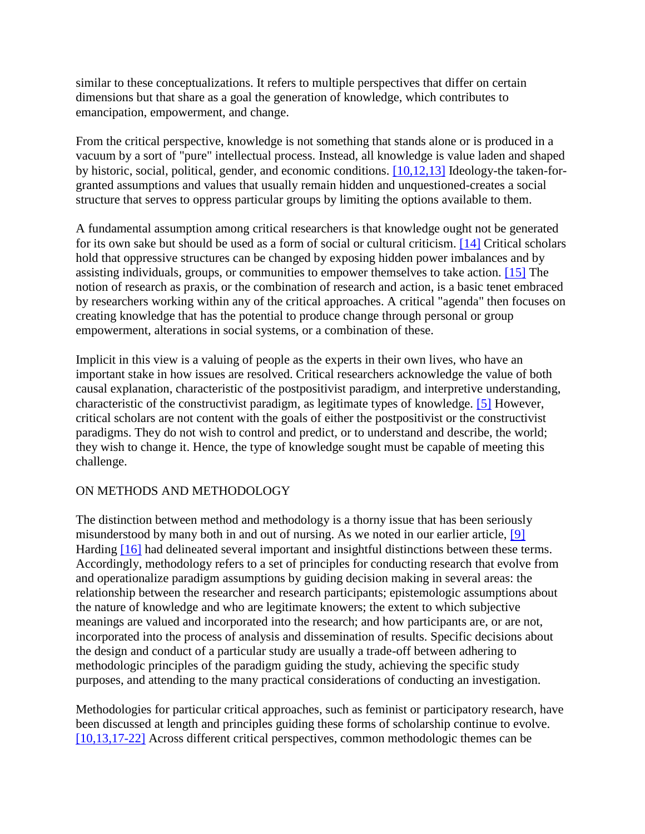similar to these conceptualizations. It refers to multiple perspectives that differ on certain dimensions but that share as a goal the generation of knowledge, which contributes to emancipation, empowerment, and change.

From the critical perspective, knowledge is not something that stands alone or is produced in a vacuum by a sort of "pure" intellectual process. Instead, all knowledge is value laden and shaped by historic, social, political, gender, and economic conditions. [\[10,12,13\]](http://ovidsp.tx.ovid.com.proxy2.lib.uwo.ca:2048/spb/ovidweb.cgi#103) Ideology-the taken-forgranted assumptions and values that usually remain hidden and unquestioned-creates a social structure that serves to oppress particular groups by limiting the options available to them.

A fundamental assumption among critical researchers is that knowledge ought not be generated for its own sake but should be used as a form of social or cultural criticism. [\[14\]](http://ovidsp.tx.ovid.com.proxy2.lib.uwo.ca:2048/spb/ovidweb.cgi#107) Critical scholars hold that oppressive structures can be changed by exposing hidden power imbalances and by assisting individuals, groups, or communities to empower themselves to take action. [\[15\]](http://ovidsp.tx.ovid.com.proxy2.lib.uwo.ca:2048/spb/ovidweb.cgi#108) The notion of research as praxis, or the combination of research and action, is a basic tenet embraced by researchers working within any of the critical approaches. A critical "agenda" then focuses on creating knowledge that has the potential to produce change through personal or group empowerment, alterations in social systems, or a combination of these.

Implicit in this view is a valuing of people as the experts in their own lives, who have an important stake in how issues are resolved. Critical researchers acknowledge the value of both causal explanation, characteristic of the postpositivist paradigm, and interpretive understanding, characteristic of the constructivist paradigm, as legitimate types of knowledge. [\[5\]](http://ovidsp.tx.ovid.com.proxy2.lib.uwo.ca:2048/spb/ovidweb.cgi#98) However, critical scholars are not content with the goals of either the postpositivist or the constructivist paradigms. They do not wish to control and predict, or to understand and describe, the world; they wish to change it. Hence, the type of knowledge sought must be capable of meeting this challenge.

#### ON METHODS AND METHODOLOGY

The distinction between method and methodology is a thorny issue that has been seriously misunderstood by many both in and out of nursing. As we noted in our earlier article, [\[9\]](http://ovidsp.tx.ovid.com.proxy2.lib.uwo.ca:2048/spb/ovidweb.cgi#102) Harding [\[16\]](http://ovidsp.tx.ovid.com.proxy2.lib.uwo.ca:2048/spb/ovidweb.cgi#109) had delineated several important and insightful distinctions between these terms. Accordingly, methodology refers to a set of principles for conducting research that evolve from and operationalize paradigm assumptions by guiding decision making in several areas: the relationship between the researcher and research participants; epistemologic assumptions about the nature of knowledge and who are legitimate knowers; the extent to which subjective meanings are valued and incorporated into the research; and how participants are, or are not, incorporated into the process of analysis and dissemination of results. Specific decisions about the design and conduct of a particular study are usually a trade-off between adhering to methodologic principles of the paradigm guiding the study, achieving the specific study purposes, and attending to the many practical considerations of conducting an investigation.

Methodologies for particular critical approaches, such as feminist or participatory research, have been discussed at length and principles guiding these forms of scholarship continue to evolve. [\[10,13,17-22\]](http://ovidsp.tx.ovid.com.proxy2.lib.uwo.ca:2048/spb/ovidweb.cgi#103) Across different critical perspectives, common methodologic themes can be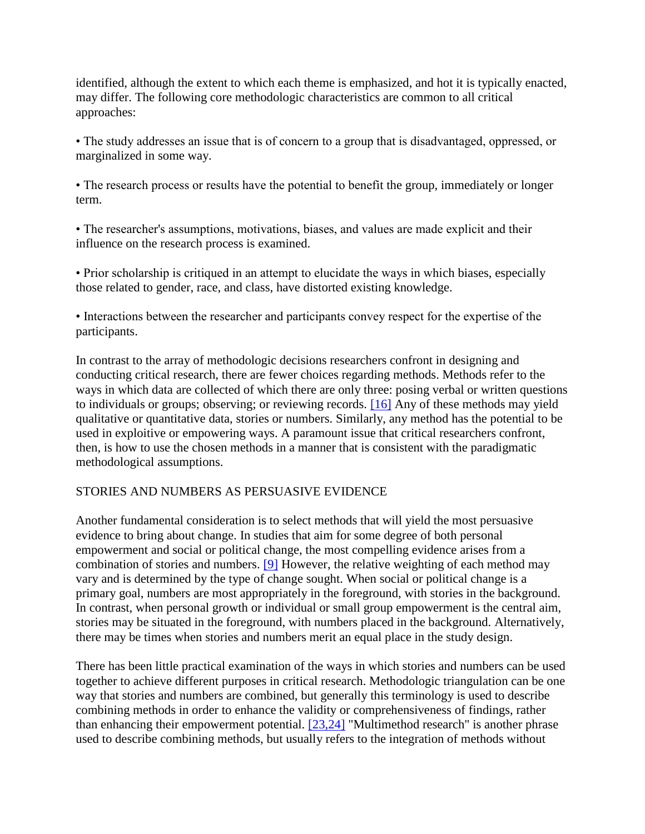identified, although the extent to which each theme is emphasized, and hot it is typically enacted, may differ. The following core methodologic characteristics are common to all critical approaches:

• The study addresses an issue that is of concern to a group that is disadvantaged, oppressed, or marginalized in some way.

• The research process or results have the potential to benefit the group, immediately or longer term.

• The researcher's assumptions, motivations, biases, and values are made explicit and their influence on the research process is examined.

• Prior scholarship is critiqued in an attempt to elucidate the ways in which biases, especially those related to gender, race, and class, have distorted existing knowledge.

• Interactions between the researcher and participants convey respect for the expertise of the participants.

In contrast to the array of methodologic decisions researchers confront in designing and conducting critical research, there are fewer choices regarding methods. Methods refer to the ways in which data are collected of which there are only three: posing verbal or written questions to individuals or groups; observing; or reviewing records. [\[16\]](http://ovidsp.tx.ovid.com.proxy2.lib.uwo.ca:2048/spb/ovidweb.cgi#109) Any of these methods may yield qualitative or quantitative data, stories or numbers. Similarly, any method has the potential to be used in exploitive or empowering ways. A paramount issue that critical researchers confront, then, is how to use the chosen methods in a manner that is consistent with the paradigmatic methodological assumptions.

# STORIES AND NUMBERS AS PERSUASIVE EVIDENCE

Another fundamental consideration is to select methods that will yield the most persuasive evidence to bring about change. In studies that aim for some degree of both personal empowerment and social or political change, the most compelling evidence arises from a combination of stories and numbers. [\[9\]](http://ovidsp.tx.ovid.com.proxy2.lib.uwo.ca:2048/spb/ovidweb.cgi#102) However, the relative weighting of each method may vary and is determined by the type of change sought. When social or political change is a primary goal, numbers are most appropriately in the foreground, with stories in the background. In contrast, when personal growth or individual or small group empowerment is the central aim, stories may be situated in the foreground, with numbers placed in the background. Alternatively, there may be times when stories and numbers merit an equal place in the study design.

There has been little practical examination of the ways in which stories and numbers can be used together to achieve different purposes in critical research. Methodologic triangulation can be one way that stories and numbers are combined, but generally this terminology is used to describe combining methods in order to enhance the validity or comprehensiveness of findings, rather than enhancing their empowerment potential. [\[23,24\]](http://ovidsp.tx.ovid.com.proxy2.lib.uwo.ca:2048/spb/ovidweb.cgi#116) "Multimethod research" is another phrase used to describe combining methods, but usually refers to the integration of methods without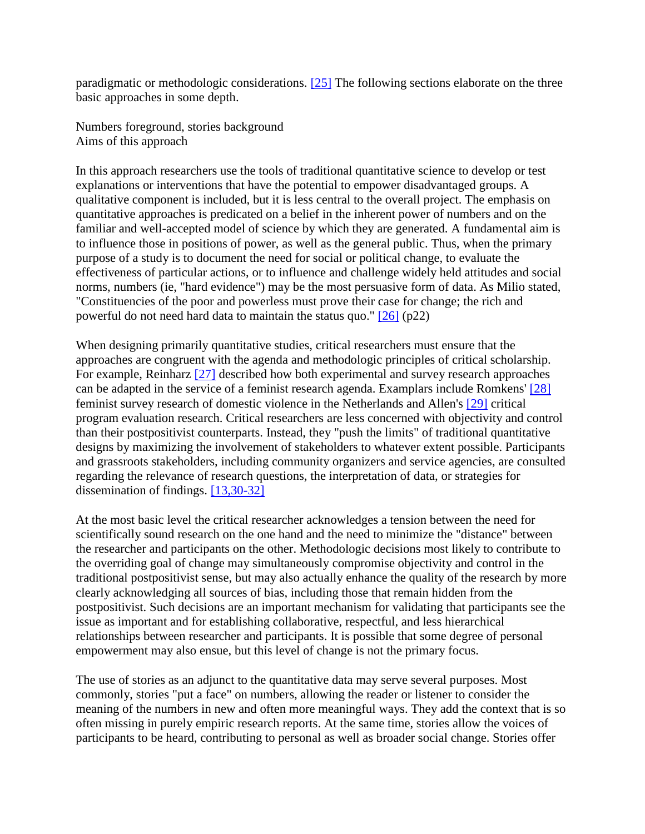paradigmatic or methodologic considerations. [\[25\]](http://ovidsp.tx.ovid.com.proxy2.lib.uwo.ca:2048/spb/ovidweb.cgi#118) The following sections elaborate on the three basic approaches in some depth.

Numbers foreground, stories background Aims of this approach

In this approach researchers use the tools of traditional quantitative science to develop or test explanations or interventions that have the potential to empower disadvantaged groups. A qualitative component is included, but it is less central to the overall project. The emphasis on quantitative approaches is predicated on a belief in the inherent power of numbers and on the familiar and well-accepted model of science by which they are generated. A fundamental aim is to influence those in positions of power, as well as the general public. Thus, when the primary purpose of a study is to document the need for social or political change, to evaluate the effectiveness of particular actions, or to influence and challenge widely held attitudes and social norms, numbers (ie, "hard evidence") may be the most persuasive form of data. As Milio stated, "Constituencies of the poor and powerless must prove their case for change; the rich and powerful do not need hard data to maintain the status quo."  $[26]$  (p22)

When designing primarily quantitative studies, critical researchers must ensure that the approaches are congruent with the agenda and methodologic principles of critical scholarship. For example, Reinharz [\[27\]](http://ovidsp.tx.ovid.com.proxy2.lib.uwo.ca:2048/spb/ovidweb.cgi#120) described how both experimental and survey research approaches can be adapted in the service of a feminist research agenda. Examplars include Romkens' [\[28\]](http://ovidsp.tx.ovid.com.proxy2.lib.uwo.ca:2048/spb/ovidweb.cgi#121) feminist survey research of domestic violence in the Netherlands and Allen's [\[29\]](http://ovidsp.tx.ovid.com.proxy2.lib.uwo.ca:2048/spb/ovidweb.cgi#122) critical program evaluation research. Critical researchers are less concerned with objectivity and control than their postpositivist counterparts. Instead, they "push the limits" of traditional quantitative designs by maximizing the involvement of stakeholders to whatever extent possible. Participants and grassroots stakeholders, including community organizers and service agencies, are consulted regarding the relevance of research questions, the interpretation of data, or strategies for dissemination of findings. [\[13,30-32\]](http://ovidsp.tx.ovid.com.proxy2.lib.uwo.ca:2048/spb/ovidweb.cgi#106)

At the most basic level the critical researcher acknowledges a tension between the need for scientifically sound research on the one hand and the need to minimize the "distance" between the researcher and participants on the other. Methodologic decisions most likely to contribute to the overriding goal of change may simultaneously compromise objectivity and control in the traditional postpositivist sense, but may also actually enhance the quality of the research by more clearly acknowledging all sources of bias, including those that remain hidden from the postpositivist. Such decisions are an important mechanism for validating that participants see the issue as important and for establishing collaborative, respectful, and less hierarchical relationships between researcher and participants. It is possible that some degree of personal empowerment may also ensue, but this level of change is not the primary focus.

The use of stories as an adjunct to the quantitative data may serve several purposes. Most commonly, stories "put a face" on numbers, allowing the reader or listener to consider the meaning of the numbers in new and often more meaningful ways. They add the context that is so often missing in purely empiric research reports. At the same time, stories allow the voices of participants to be heard, contributing to personal as well as broader social change. Stories offer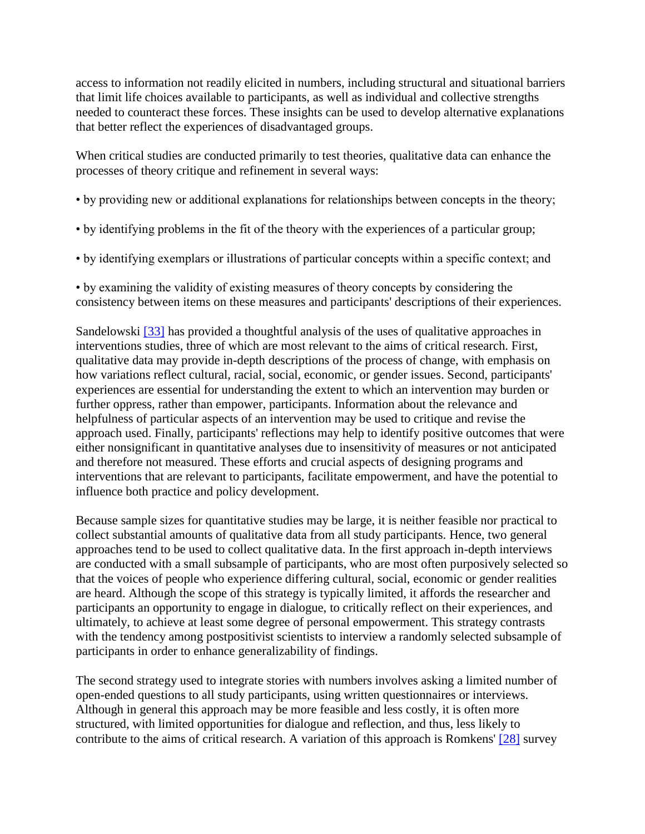access to information not readily elicited in numbers, including structural and situational barriers that limit life choices available to participants, as well as individual and collective strengths needed to counteract these forces. These insights can be used to develop alternative explanations that better reflect the experiences of disadvantaged groups.

When critical studies are conducted primarily to test theories, qualitative data can enhance the processes of theory critique and refinement in several ways:

- by providing new or additional explanations for relationships between concepts in the theory;
- by identifying problems in the fit of the theory with the experiences of a particular group;
- by identifying exemplars or illustrations of particular concepts within a specific context; and

• by examining the validity of existing measures of theory concepts by considering the consistency between items on these measures and participants' descriptions of their experiences.

Sandelowski [\[33\]](http://ovidsp.tx.ovid.com.proxy2.lib.uwo.ca:2048/spb/ovidweb.cgi#126) has provided a thoughtful analysis of the uses of qualitative approaches in interventions studies, three of which are most relevant to the aims of critical research. First, qualitative data may provide in-depth descriptions of the process of change, with emphasis on how variations reflect cultural, racial, social, economic, or gender issues. Second, participants' experiences are essential for understanding the extent to which an intervention may burden or further oppress, rather than empower, participants. Information about the relevance and helpfulness of particular aspects of an intervention may be used to critique and revise the approach used. Finally, participants' reflections may help to identify positive outcomes that were either nonsignificant in quantitative analyses due to insensitivity of measures or not anticipated and therefore not measured. These efforts and crucial aspects of designing programs and interventions that are relevant to participants, facilitate empowerment, and have the potential to influence both practice and policy development.

Because sample sizes for quantitative studies may be large, it is neither feasible nor practical to collect substantial amounts of qualitative data from all study participants. Hence, two general approaches tend to be used to collect qualitative data. In the first approach in-depth interviews are conducted with a small subsample of participants, who are most often purposively selected so that the voices of people who experience differing cultural, social, economic or gender realities are heard. Although the scope of this strategy is typically limited, it affords the researcher and participants an opportunity to engage in dialogue, to critically reflect on their experiences, and ultimately, to achieve at least some degree of personal empowerment. This strategy contrasts with the tendency among postpositivist scientists to interview a randomly selected subsample of participants in order to enhance generalizability of findings.

The second strategy used to integrate stories with numbers involves asking a limited number of open-ended questions to all study participants, using written questionnaires or interviews. Although in general this approach may be more feasible and less costly, it is often more structured, with limited opportunities for dialogue and reflection, and thus, less likely to contribute to the aims of critical research. A variation of this approach is Romkens' [\[28\]](http://ovidsp.tx.ovid.com.proxy2.lib.uwo.ca:2048/spb/ovidweb.cgi#121) survey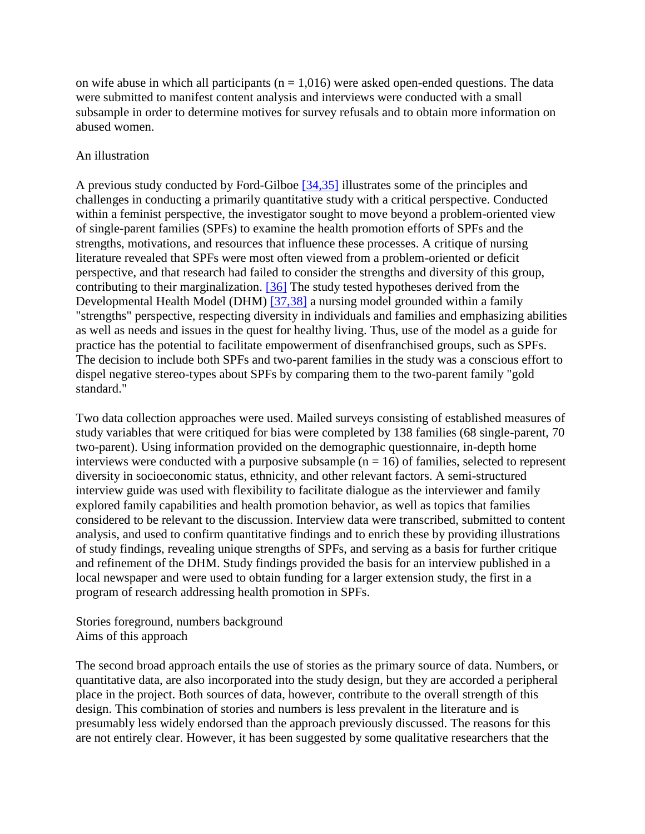on wife abuse in which all participants ( $n = 1.016$ ) were asked open-ended questions. The data were submitted to manifest content analysis and interviews were conducted with a small subsample in order to determine motives for survey refusals and to obtain more information on abused women.

### An illustration

A previous study conducted by Ford-Gilboe [\[34,35\]](http://ovidsp.tx.ovid.com.proxy2.lib.uwo.ca:2048/spb/ovidweb.cgi#127) illustrates some of the principles and challenges in conducting a primarily quantitative study with a critical perspective. Conducted within a feminist perspective, the investigator sought to move beyond a problem-oriented view of single-parent families (SPFs) to examine the health promotion efforts of SPFs and the strengths, motivations, and resources that influence these processes. A critique of nursing literature revealed that SPFs were most often viewed from a problem-oriented or deficit perspective, and that research had failed to consider the strengths and diversity of this group, contributing to their marginalization. [\[36\]](http://ovidsp.tx.ovid.com.proxy2.lib.uwo.ca:2048/spb/ovidweb.cgi#129) The study tested hypotheses derived from the Developmental Health Model (DHM) [\[37,38\]](http://ovidsp.tx.ovid.com.proxy2.lib.uwo.ca:2048/spb/ovidweb.cgi#130) a nursing model grounded within a family "strengths" perspective, respecting diversity in individuals and families and emphasizing abilities as well as needs and issues in the quest for healthy living. Thus, use of the model as a guide for practice has the potential to facilitate empowerment of disenfranchised groups, such as SPFs. The decision to include both SPFs and two-parent families in the study was a conscious effort to dispel negative stereo-types about SPFs by comparing them to the two-parent family "gold standard."

Two data collection approaches were used. Mailed surveys consisting of established measures of study variables that were critiqued for bias were completed by 138 families (68 single-parent, 70 two-parent). Using information provided on the demographic questionnaire, in-depth home interviews were conducted with a purposive subsample  $(n = 16)$  of families, selected to represent diversity in socioeconomic status, ethnicity, and other relevant factors. A semi-structured interview guide was used with flexibility to facilitate dialogue as the interviewer and family explored family capabilities and health promotion behavior, as well as topics that families considered to be relevant to the discussion. Interview data were transcribed, submitted to content analysis, and used to confirm quantitative findings and to enrich these by providing illustrations of study findings, revealing unique strengths of SPFs, and serving as a basis for further critique and refinement of the DHM. Study findings provided the basis for an interview published in a local newspaper and were used to obtain funding for a larger extension study, the first in a program of research addressing health promotion in SPFs.

Stories foreground, numbers background Aims of this approach

The second broad approach entails the use of stories as the primary source of data. Numbers, or quantitative data, are also incorporated into the study design, but they are accorded a peripheral place in the project. Both sources of data, however, contribute to the overall strength of this design. This combination of stories and numbers is less prevalent in the literature and is presumably less widely endorsed than the approach previously discussed. The reasons for this are not entirely clear. However, it has been suggested by some qualitative researchers that the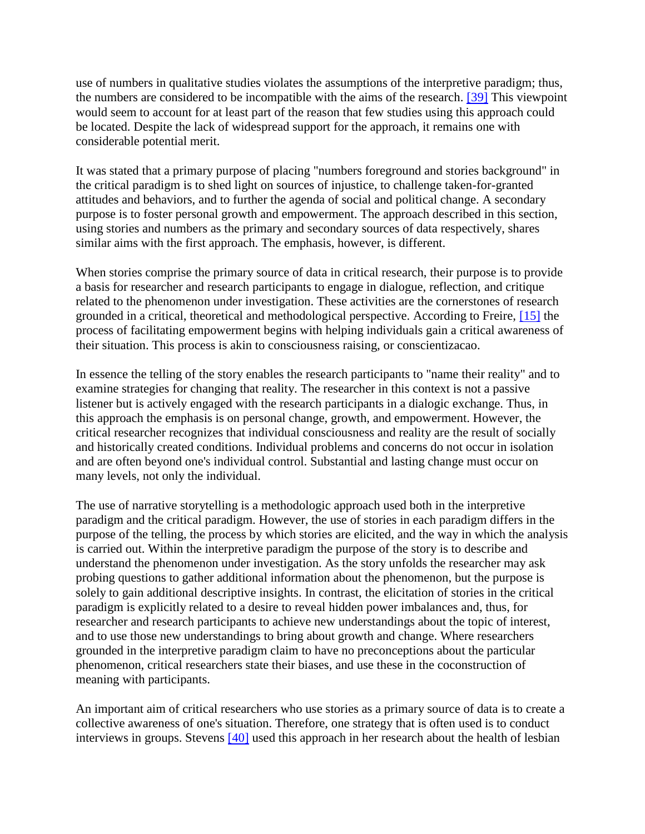use of numbers in qualitative studies violates the assumptions of the interpretive paradigm; thus, the numbers are considered to be incompatible with the aims of the research. [\[39\]](http://ovidsp.tx.ovid.com.proxy2.lib.uwo.ca:2048/spb/ovidweb.cgi#132) This viewpoint would seem to account for at least part of the reason that few studies using this approach could be located. Despite the lack of widespread support for the approach, it remains one with considerable potential merit.

It was stated that a primary purpose of placing "numbers foreground and stories background" in the critical paradigm is to shed light on sources of injustice, to challenge taken-for-granted attitudes and behaviors, and to further the agenda of social and political change. A secondary purpose is to foster personal growth and empowerment. The approach described in this section, using stories and numbers as the primary and secondary sources of data respectively, shares similar aims with the first approach. The emphasis, however, is different.

When stories comprise the primary source of data in critical research, their purpose is to provide a basis for researcher and research participants to engage in dialogue, reflection, and critique related to the phenomenon under investigation. These activities are the cornerstones of research grounded in a critical, theoretical and methodological perspective. According to Freire, [\[15\]](http://ovidsp.tx.ovid.com.proxy2.lib.uwo.ca:2048/spb/ovidweb.cgi#108) the process of facilitating empowerment begins with helping individuals gain a critical awareness of their situation. This process is akin to consciousness raising, or conscientizacao.

In essence the telling of the story enables the research participants to "name their reality" and to examine strategies for changing that reality. The researcher in this context is not a passive listener but is actively engaged with the research participants in a dialogic exchange. Thus, in this approach the emphasis is on personal change, growth, and empowerment. However, the critical researcher recognizes that individual consciousness and reality are the result of socially and historically created conditions. Individual problems and concerns do not occur in isolation and are often beyond one's individual control. Substantial and lasting change must occur on many levels, not only the individual.

The use of narrative storytelling is a methodologic approach used both in the interpretive paradigm and the critical paradigm. However, the use of stories in each paradigm differs in the purpose of the telling, the process by which stories are elicited, and the way in which the analysis is carried out. Within the interpretive paradigm the purpose of the story is to describe and understand the phenomenon under investigation. As the story unfolds the researcher may ask probing questions to gather additional information about the phenomenon, but the purpose is solely to gain additional descriptive insights. In contrast, the elicitation of stories in the critical paradigm is explicitly related to a desire to reveal hidden power imbalances and, thus, for researcher and research participants to achieve new understandings about the topic of interest, and to use those new understandings to bring about growth and change. Where researchers grounded in the interpretive paradigm claim to have no preconceptions about the particular phenomenon, critical researchers state their biases, and use these in the coconstruction of meaning with participants.

An important aim of critical researchers who use stories as a primary source of data is to create a collective awareness of one's situation. Therefore, one strategy that is often used is to conduct interviews in groups. Stevens [\[40\]](http://ovidsp.tx.ovid.com.proxy2.lib.uwo.ca:2048/spb/ovidweb.cgi#133) used this approach in her research about the health of lesbian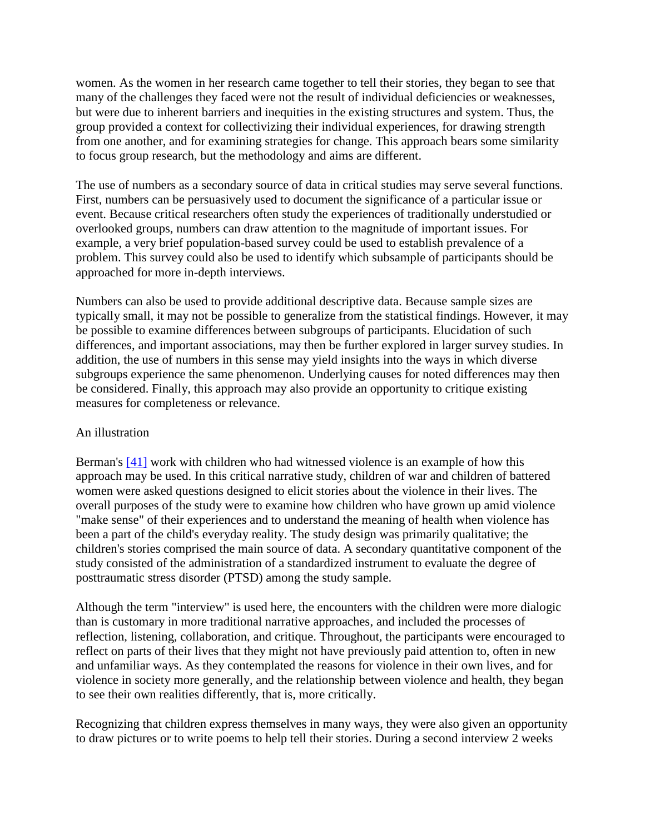women. As the women in her research came together to tell their stories, they began to see that many of the challenges they faced were not the result of individual deficiencies or weaknesses, but were due to inherent barriers and inequities in the existing structures and system. Thus, the group provided a context for collectivizing their individual experiences, for drawing strength from one another, and for examining strategies for change. This approach bears some similarity to focus group research, but the methodology and aims are different.

The use of numbers as a secondary source of data in critical studies may serve several functions. First, numbers can be persuasively used to document the significance of a particular issue or event. Because critical researchers often study the experiences of traditionally understudied or overlooked groups, numbers can draw attention to the magnitude of important issues. For example, a very brief population-based survey could be used to establish prevalence of a problem. This survey could also be used to identify which subsample of participants should be approached for more in-depth interviews.

Numbers can also be used to provide additional descriptive data. Because sample sizes are typically small, it may not be possible to generalize from the statistical findings. However, it may be possible to examine differences between subgroups of participants. Elucidation of such differences, and important associations, may then be further explored in larger survey studies. In addition, the use of numbers in this sense may yield insights into the ways in which diverse subgroups experience the same phenomenon. Underlying causes for noted differences may then be considered. Finally, this approach may also provide an opportunity to critique existing measures for completeness or relevance.

#### An illustration

Berman's [\[41\]](http://ovidsp.tx.ovid.com.proxy2.lib.uwo.ca:2048/spb/ovidweb.cgi#134) work with children who had witnessed violence is an example of how this approach may be used. In this critical narrative study, children of war and children of battered women were asked questions designed to elicit stories about the violence in their lives. The overall purposes of the study were to examine how children who have grown up amid violence "make sense" of their experiences and to understand the meaning of health when violence has been a part of the child's everyday reality. The study design was primarily qualitative; the children's stories comprised the main source of data. A secondary quantitative component of the study consisted of the administration of a standardized instrument to evaluate the degree of posttraumatic stress disorder (PTSD) among the study sample.

Although the term "interview" is used here, the encounters with the children were more dialogic than is customary in more traditional narrative approaches, and included the processes of reflection, listening, collaboration, and critique. Throughout, the participants were encouraged to reflect on parts of their lives that they might not have previously paid attention to, often in new and unfamiliar ways. As they contemplated the reasons for violence in their own lives, and for violence in society more generally, and the relationship between violence and health, they began to see their own realities differently, that is, more critically.

Recognizing that children express themselves in many ways, they were also given an opportunity to draw pictures or to write poems to help tell their stories. During a second interview 2 weeks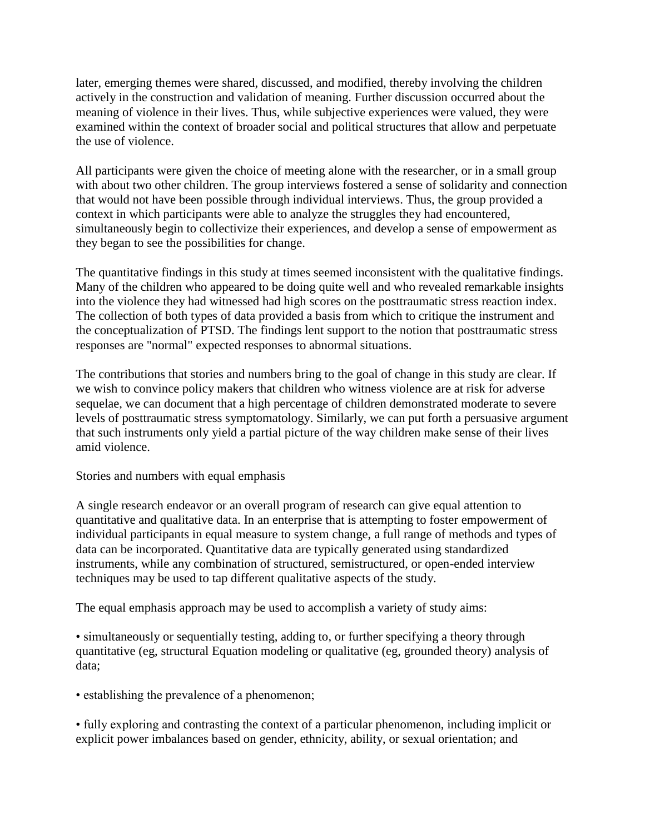later, emerging themes were shared, discussed, and modified, thereby involving the children actively in the construction and validation of meaning. Further discussion occurred about the meaning of violence in their lives. Thus, while subjective experiences were valued, they were examined within the context of broader social and political structures that allow and perpetuate the use of violence.

All participants were given the choice of meeting alone with the researcher, or in a small group with about two other children. The group interviews fostered a sense of solidarity and connection that would not have been possible through individual interviews. Thus, the group provided a context in which participants were able to analyze the struggles they had encountered, simultaneously begin to collectivize their experiences, and develop a sense of empowerment as they began to see the possibilities for change.

The quantitative findings in this study at times seemed inconsistent with the qualitative findings. Many of the children who appeared to be doing quite well and who revealed remarkable insights into the violence they had witnessed had high scores on the posttraumatic stress reaction index. The collection of both types of data provided a basis from which to critique the instrument and the conceptualization of PTSD. The findings lent support to the notion that posttraumatic stress responses are "normal" expected responses to abnormal situations.

The contributions that stories and numbers bring to the goal of change in this study are clear. If we wish to convince policy makers that children who witness violence are at risk for adverse sequelae, we can document that a high percentage of children demonstrated moderate to severe levels of posttraumatic stress symptomatology. Similarly, we can put forth a persuasive argument that such instruments only yield a partial picture of the way children make sense of their lives amid violence.

Stories and numbers with equal emphasis

A single research endeavor or an overall program of research can give equal attention to quantitative and qualitative data. In an enterprise that is attempting to foster empowerment of individual participants in equal measure to system change, a full range of methods and types of data can be incorporated. Quantitative data are typically generated using standardized instruments, while any combination of structured, semistructured, or open-ended interview techniques may be used to tap different qualitative aspects of the study.

The equal emphasis approach may be used to accomplish a variety of study aims:

• simultaneously or sequentially testing, adding to, or further specifying a theory through quantitative (eg, structural Equation modeling or qualitative (eg, grounded theory) analysis of data;

• establishing the prevalence of a phenomenon;

• fully exploring and contrasting the context of a particular phenomenon, including implicit or explicit power imbalances based on gender, ethnicity, ability, or sexual orientation; and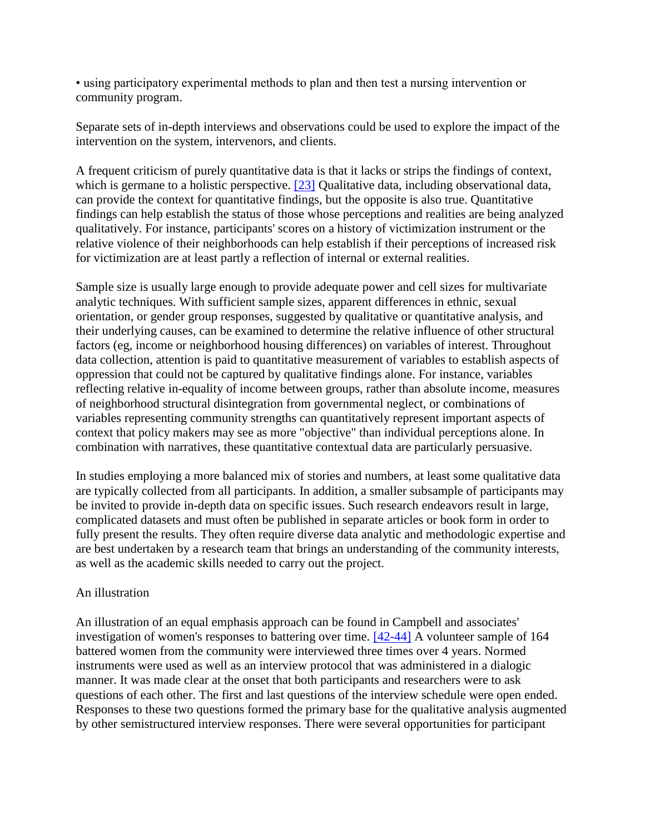• using participatory experimental methods to plan and then test a nursing intervention or community program.

Separate sets of in-depth interviews and observations could be used to explore the impact of the intervention on the system, intervenors, and clients.

A frequent criticism of purely quantitative data is that it lacks or strips the findings of context, which is germane to a holistic perspective. [\[23\]](http://ovidsp.tx.ovid.com.proxy2.lib.uwo.ca:2048/spb/ovidweb.cgi#116) Qualitative data, including observational data, can provide the context for quantitative findings, but the opposite is also true. Quantitative findings can help establish the status of those whose perceptions and realities are being analyzed qualitatively. For instance, participants' scores on a history of victimization instrument or the relative violence of their neighborhoods can help establish if their perceptions of increased risk for victimization are at least partly a reflection of internal or external realities.

Sample size is usually large enough to provide adequate power and cell sizes for multivariate analytic techniques. With sufficient sample sizes, apparent differences in ethnic, sexual orientation, or gender group responses, suggested by qualitative or quantitative analysis, and their underlying causes, can be examined to determine the relative influence of other structural factors (eg, income or neighborhood housing differences) on variables of interest. Throughout data collection, attention is paid to quantitative measurement of variables to establish aspects of oppression that could not be captured by qualitative findings alone. For instance, variables reflecting relative in-equality of income between groups, rather than absolute income, measures of neighborhood structural disintegration from governmental neglect, or combinations of variables representing community strengths can quantitatively represent important aspects of context that policy makers may see as more "objective" than individual perceptions alone. In combination with narratives, these quantitative contextual data are particularly persuasive.

In studies employing a more balanced mix of stories and numbers, at least some qualitative data are typically collected from all participants. In addition, a smaller subsample of participants may be invited to provide in-depth data on specific issues. Such research endeavors result in large, complicated datasets and must often be published in separate articles or book form in order to fully present the results. They often require diverse data analytic and methodologic expertise and are best undertaken by a research team that brings an understanding of the community interests, as well as the academic skills needed to carry out the project.

#### An illustration

An illustration of an equal emphasis approach can be found in Campbell and associates' investigation of women's responses to battering over time. [\[42-44\]](http://ovidsp.tx.ovid.com.proxy2.lib.uwo.ca:2048/spb/ovidweb.cgi#135) A volunteer sample of 164 battered women from the community were interviewed three times over 4 years. Normed instruments were used as well as an interview protocol that was administered in a dialogic manner. It was made clear at the onset that both participants and researchers were to ask questions of each other. The first and last questions of the interview schedule were open ended. Responses to these two questions formed the primary base for the qualitative analysis augmented by other semistructured interview responses. There were several opportunities for participant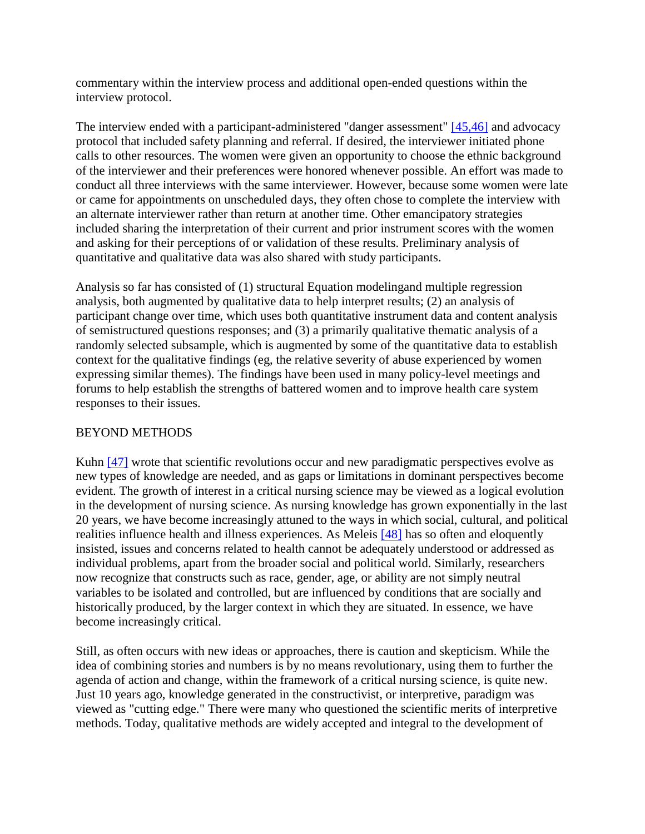commentary within the interview process and additional open-ended questions within the interview protocol.

The interview ended with a participant-administered "danger assessment" [\[45,46\]](http://ovidsp.tx.ovid.com.proxy2.lib.uwo.ca:2048/spb/ovidweb.cgi#138) and advocacy protocol that included safety planning and referral. If desired, the interviewer initiated phone calls to other resources. The women were given an opportunity to choose the ethnic background of the interviewer and their preferences were honored whenever possible. An effort was made to conduct all three interviews with the same interviewer. However, because some women were late or came for appointments on unscheduled days, they often chose to complete the interview with an alternate interviewer rather than return at another time. Other emancipatory strategies included sharing the interpretation of their current and prior instrument scores with the women and asking for their perceptions of or validation of these results. Preliminary analysis of quantitative and qualitative data was also shared with study participants.

Analysis so far has consisted of (1) structural Equation modelingand multiple regression analysis, both augmented by qualitative data to help interpret results; (2) an analysis of participant change over time, which uses both quantitative instrument data and content analysis of semistructured questions responses; and (3) a primarily qualitative thematic analysis of a randomly selected subsample, which is augmented by some of the quantitative data to establish context for the qualitative findings (eg, the relative severity of abuse experienced by women expressing similar themes). The findings have been used in many policy-level meetings and forums to help establish the strengths of battered women and to improve health care system responses to their issues.

# BEYOND METHODS

Kuhn [\[47\]](http://ovidsp.tx.ovid.com.proxy2.lib.uwo.ca:2048/spb/ovidweb.cgi#140) wrote that scientific revolutions occur and new paradigmatic perspectives evolve as new types of knowledge are needed, and as gaps or limitations in dominant perspectives become evident. The growth of interest in a critical nursing science may be viewed as a logical evolution in the development of nursing science. As nursing knowledge has grown exponentially in the last 20 years, we have become increasingly attuned to the ways in which social, cultural, and political realities influence health and illness experiences. As Meleis [\[48\]](http://ovidsp.tx.ovid.com.proxy2.lib.uwo.ca:2048/spb/ovidweb.cgi#141) has so often and eloquently insisted, issues and concerns related to health cannot be adequately understood or addressed as individual problems, apart from the broader social and political world. Similarly, researchers now recognize that constructs such as race, gender, age, or ability are not simply neutral variables to be isolated and controlled, but are influenced by conditions that are socially and historically produced, by the larger context in which they are situated. In essence, we have become increasingly critical.

Still, as often occurs with new ideas or approaches, there is caution and skepticism. While the idea of combining stories and numbers is by no means revolutionary, using them to further the agenda of action and change, within the framework of a critical nursing science, is quite new. Just 10 years ago, knowledge generated in the constructivist, or interpretive, paradigm was viewed as "cutting edge." There were many who questioned the scientific merits of interpretive methods. Today, qualitative methods are widely accepted and integral to the development of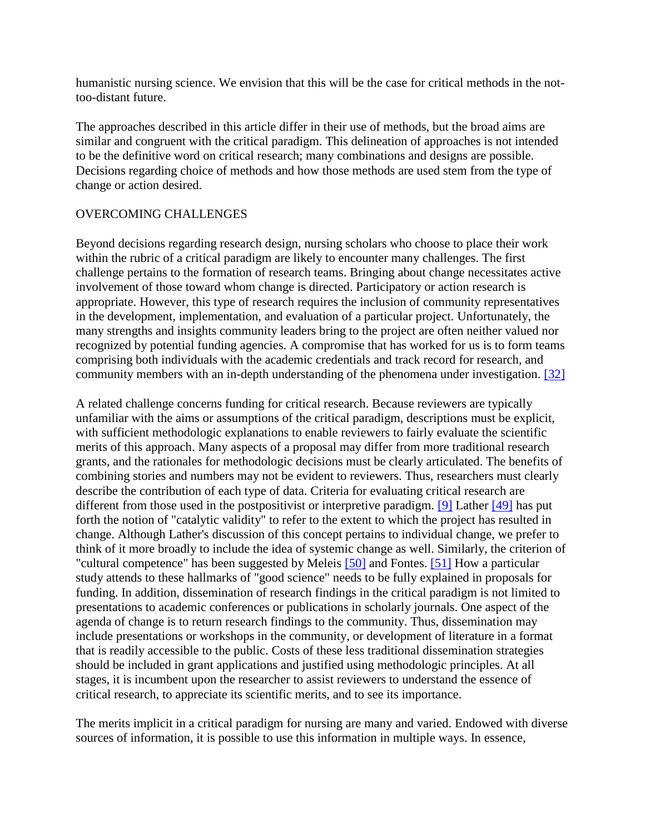humanistic nursing science. We envision that this will be the case for critical methods in the nottoo-distant future.

The approaches described in this article differ in their use of methods, but the broad aims are similar and congruent with the critical paradigm. This delineation of approaches is not intended to be the definitive word on critical research; many combinations and designs are possible. Decisions regarding choice of methods and how those methods are used stem from the type of change or action desired.

### OVERCOMING CHALLENGES

Beyond decisions regarding research design, nursing scholars who choose to place their work within the rubric of a critical paradigm are likely to encounter many challenges. The first challenge pertains to the formation of research teams. Bringing about change necessitates active involvement of those toward whom change is directed. Participatory or action research is appropriate. However, this type of research requires the inclusion of community representatives in the development, implementation, and evaluation of a particular project. Unfortunately, the many strengths and insights community leaders bring to the project are often neither valued nor recognized by potential funding agencies. A compromise that has worked for us is to form teams comprising both individuals with the academic credentials and track record for research, and community members with an in-depth understanding of the phenomena under investigation. [\[32\]](http://ovidsp.tx.ovid.com.proxy2.lib.uwo.ca:2048/spb/ovidweb.cgi#125)

A related challenge concerns funding for critical research. Because reviewers are typically unfamiliar with the aims or assumptions of the critical paradigm, descriptions must be explicit, with sufficient methodologic explanations to enable reviewers to fairly evaluate the scientific merits of this approach. Many aspects of a proposal may differ from more traditional research grants, and the rationales for methodologic decisions must be clearly articulated. The benefits of combining stories and numbers may not be evident to reviewers. Thus, researchers must clearly describe the contribution of each type of data. Criteria for evaluating critical research are different from those used in the postpositivist or interpretive paradigm. [\[9\]](http://ovidsp.tx.ovid.com.proxy2.lib.uwo.ca:2048/spb/ovidweb.cgi#102) Lather [\[49\]](http://ovidsp.tx.ovid.com.proxy2.lib.uwo.ca:2048/spb/ovidweb.cgi#142) has put forth the notion of "catalytic validity" to refer to the extent to which the project has resulted in change. Although Lather's discussion of this concept pertains to individual change, we prefer to think of it more broadly to include the idea of systemic change as well. Similarly, the criterion of "cultural competence" has been suggested by Meleis [\[50\]](http://ovidsp.tx.ovid.com.proxy2.lib.uwo.ca:2048/spb/ovidweb.cgi#143) and Fontes. [\[51\]](http://ovidsp.tx.ovid.com.proxy2.lib.uwo.ca:2048/spb/ovidweb.cgi#144) How a particular study attends to these hallmarks of "good science" needs to be fully explained in proposals for funding. In addition, dissemination of research findings in the critical paradigm is not limited to presentations to academic conferences or publications in scholarly journals. One aspect of the agenda of change is to return research findings to the community. Thus, dissemination may include presentations or workshops in the community, or development of literature in a format that is readily accessible to the public. Costs of these less traditional dissemination strategies should be included in grant applications and justified using methodologic principles. At all stages, it is incumbent upon the researcher to assist reviewers to understand the essence of critical research, to appreciate its scientific merits, and to see its importance.

The merits implicit in a critical paradigm for nursing are many and varied. Endowed with diverse sources of information, it is possible to use this information in multiple ways. In essence,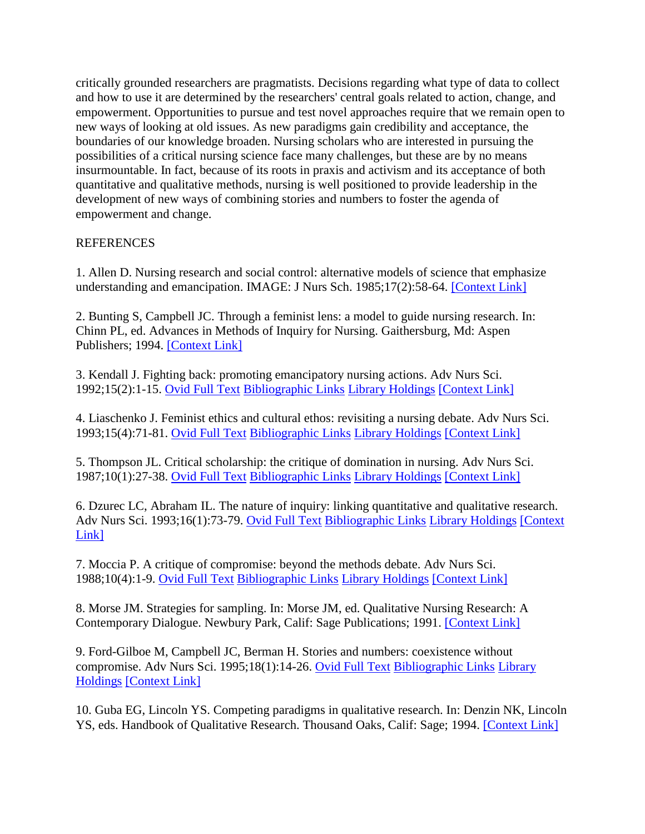critically grounded researchers are pragmatists. Decisions regarding what type of data to collect and how to use it are determined by the researchers' central goals related to action, change, and empowerment. Opportunities to pursue and test novel approaches require that we remain open to new ways of looking at old issues. As new paradigms gain credibility and acceptance, the boundaries of our knowledge broaden. Nursing scholars who are interested in pursuing the possibilities of a critical nursing science face many challenges, but these are by no means insurmountable. In fact, because of its roots in praxis and activism and its acceptance of both quantitative and qualitative methods, nursing is well positioned to provide leadership in the development of new ways of combining stories and numbers to foster the agenda of empowerment and change.

# **REFERENCES**

1. Allen D. Nursing research and social control: alternative models of science that emphasize understanding and emancipation. IMAGE: J Nurs Sch. 1985;17(2):58-64. [\[Context Link\]](http://ovidsp.tx.ovid.com.proxy2.lib.uwo.ca:2048/spb/ovidweb.cgi#16)

2. Bunting S, Campbell JC. Through a feminist lens: a model to guide nursing research. In: Chinn PL, ed. Advances in Methods of Inquiry for Nursing. Gaithersburg, Md: Aspen Publishers; 1994. [\[Context Link\]](http://ovidsp.tx.ovid.com.proxy2.lib.uwo.ca:2048/spb/ovidweb.cgi#16)

3. Kendall J. Fighting back: promoting emancipatory nursing actions. Adv Nurs Sci. 1992;15(2):1-15. [Ovid Full Text](http://ovidsp.tx.ovid.com.proxy2.lib.uwo.ca:2048/spb/ovidweb.cgi?Link+Set+Ref=00012272-199809000-00002|00012272_1992_15_1_kendall_emancipatory_%7c00012272-199809000-00002%23xpointer%28id%28R3-2%29%29%7c10%7chttp%3a%2f%2facs.tx.ovid.com%2facs%2f.5c103e04ef61e5550ce593f7adca05af0334ad3d6d38a1f400230673b342cfb54bea84c4ae6dba622ed2fc4eb4096d3967.gif%7covftdb%7c00012272-199212000-00003&P=96&S=ICEOFPPHKMDDKDNONCILICGJAGPPAA00&WebLinkReturn=Full+Text%3dL%7cS.sh.15.16%7c0%7c00012272-199809000-00002) [Bibliographic Links](http://ovidsp.tx.ovid.com.proxy2.lib.uwo.ca:2048/spb/ovidweb.cgi?Link+Set+Ref=00012272-199809000-00002|00012272_1992_15_1_kendall_emancipatory_%7c00012272-199809000-00002%23xpointer%28id%28R3-2%29%29%7c60%7chttp%3a%2f%2facs.tx.ovid.com%2facs%2f.14038a58de48ffa86f4ee5c84b99ffb3634b4b40918581081964493cf03a9948ecbddf0655fc0acf8b.gif%7covftdb%7c00012272-199212000-00003&P=96&S=ICEOFPPHKMDDKDNONCILICGJAGPPAA00&WebLinkReturn=Full+Text%3dL%7cS.sh.15.16%7c0%7c00012272-199809000-00002) [Library Holdings](http://ovidsp.tx.ovid.com.proxy2.lib.uwo.ca:2048/spb/ovidweb.cgi?Link+Set+Ref=00012272-199809000-00002|00012272_1992_15_1_kendall_emancipatory_%7c00012272-199809000-00002%23xpointer%28id%28R3-2%29%29%7c90%7chttp%3a%2f%2facs.tx.ovid.com%2facs%2f.8743d5299570bc97ef1f5b86f319dbf259ae8e835f5f38c7ec311558ff60982f92d6f745759defaf67.gif%7covftdb%7c00012272-199212000-00003&P=96&S=ICEOFPPHKMDDKDNONCILICGJAGPPAA00&WebLinkReturn=Full+Text%3dL%7cS.sh.15.16%7c0%7c00012272-199809000-00002) [\[Context](http://ovidsp.tx.ovid.com.proxy2.lib.uwo.ca:2048/spb/ovidweb.cgi#16) Link]

4. Liaschenko J. Feminist ethics and cultural ethos: revisiting a nursing debate. Adv Nurs Sci. 1993;15(4):71-81. [Ovid Full Text](http://ovidsp.tx.ovid.com.proxy2.lib.uwo.ca:2048/spb/ovidweb.cgi?Link+Set+Ref=00012272-199809000-00002|00012272_1993_15_71_liaschenko_revisiting_%7c00012272-199809000-00002%23xpointer%28id%28R4-2%29%29%7c10%7chttp%3a%2f%2facs.tx.ovid.com%2facs%2f.5c103e04ef61e5550ce593f7adca05af0334ad3d6d38a1f400230673b342cfb54bea84c4ae6dba622ed2fc4eb4096d3967.gif%7covftdb%7c00012272-199306000-00008&P=97&S=ICEOFPPHKMDDKDNONCILICGJAGPPAA00&WebLinkReturn=Full+Text%3dL%7cS.sh.15.16%7c0%7c00012272-199809000-00002) [Bibliographic Links](http://ovidsp.tx.ovid.com.proxy2.lib.uwo.ca:2048/spb/ovidweb.cgi?Link+Set+Ref=00012272-199809000-00002|00012272_1993_15_71_liaschenko_revisiting_%7c00012272-199809000-00002%23xpointer%28id%28R4-2%29%29%7c60%7chttp%3a%2f%2facs.tx.ovid.com%2facs%2f.14038a58de48ffa86f4ee5c84b99ffb3634b4b40918581081964493cf03a9948ecbddf0655fc0acf8b.gif%7covftdb%7c00012272-199306000-00008&P=97&S=ICEOFPPHKMDDKDNONCILICGJAGPPAA00&WebLinkReturn=Full+Text%3dL%7cS.sh.15.16%7c0%7c00012272-199809000-00002) [Library Holdings](http://ovidsp.tx.ovid.com.proxy2.lib.uwo.ca:2048/spb/ovidweb.cgi?Link+Set+Ref=00012272-199809000-00002|00012272_1993_15_71_liaschenko_revisiting_%7c00012272-199809000-00002%23xpointer%28id%28R4-2%29%29%7c90%7chttp%3a%2f%2facs.tx.ovid.com%2facs%2f.8743d5299570bc97ef1f5b86f319dbf259ae8e835f5f38c7ec311558ff60982f92d6f745759defaf67.gif%7covftdb%7c00012272-199306000-00008&P=97&S=ICEOFPPHKMDDKDNONCILICGJAGPPAA00&WebLinkReturn=Full+Text%3dL%7cS.sh.15.16%7c0%7c00012272-199809000-00002) [\[Context Link\]](http://ovidsp.tx.ovid.com.proxy2.lib.uwo.ca:2048/spb/ovidweb.cgi#16)

5. Thompson JL. Critical scholarship: the critique of domination in nursing. Adv Nurs Sci. 1987;10(1):27-38. [Ovid Full Text](http://ovidsp.tx.ovid.com.proxy2.lib.uwo.ca:2048/spb/ovidweb.cgi?Link+Set+Ref=00012272-199809000-00002|00012272_1987_10_27_thompson_scholarship_%7c00012272-199809000-00002%23xpointer%28id%28R5-2%29%29%7c10%7chttp%3a%2f%2facs.tx.ovid.com%2facs%2f.5c103e04ef61e5550ce593f7adca05af0334ad3d6d38a1f400230673b342cfb54bea84c4ae6dba622ed2fc4eb4096d3967.gif%7covftdb%7c00012272-198710000-00008&P=98&S=ICEOFPPHKMDDKDNONCILICGJAGPPAA00&WebLinkReturn=Full+Text%3dL%7cS.sh.15.16%7c0%7c00012272-199809000-00002) [Bibliographic Links](http://ovidsp.tx.ovid.com.proxy2.lib.uwo.ca:2048/spb/ovidweb.cgi?Link+Set+Ref=00012272-199809000-00002|00012272_1987_10_27_thompson_scholarship_%7c00012272-199809000-00002%23xpointer%28id%28R5-2%29%29%7c60%7chttp%3a%2f%2facs.tx.ovid.com%2facs%2f.14038a58de48ffa86f4ee5c84b99ffb3634b4b40918581081964493cf03a9948ecbddf0655fc0acf8b.gif%7covftdb%7c00012272-198710000-00008&P=98&S=ICEOFPPHKMDDKDNONCILICGJAGPPAA00&WebLinkReturn=Full+Text%3dL%7cS.sh.15.16%7c0%7c00012272-199809000-00002) [Library Holdings](http://ovidsp.tx.ovid.com.proxy2.lib.uwo.ca:2048/spb/ovidweb.cgi?Link+Set+Ref=00012272-199809000-00002|00012272_1987_10_27_thompson_scholarship_%7c00012272-199809000-00002%23xpointer%28id%28R5-2%29%29%7c90%7chttp%3a%2f%2facs.tx.ovid.com%2facs%2f.8743d5299570bc97ef1f5b86f319dbf259ae8e835f5f38c7ec311558ff60982f92d6f745759defaf67.gif%7covftdb%7c00012272-198710000-00008&P=98&S=ICEOFPPHKMDDKDNONCILICGJAGPPAA00&WebLinkReturn=Full+Text%3dL%7cS.sh.15.16%7c0%7c00012272-199809000-00002) [\[Context Link\]](http://ovidsp.tx.ovid.com.proxy2.lib.uwo.ca:2048/spb/ovidweb.cgi#16)

6. Dzurec LC, Abraham IL. The nature of inquiry: linking quantitative and qualitative research. Adv Nurs Sci. 1993;16(1):73-79. [Ovid Full Text](http://ovidsp.tx.ovid.com.proxy2.lib.uwo.ca:2048/spb/ovidweb.cgi?Link+Set+Ref=00012272-199809000-00002|00012272_1993_16_73_dzurec_quantitative_%7c00012272-199809000-00002%23xpointer%28id%28R6-2%29%29%7c10%7chttp%3a%2f%2facs.tx.ovid.com%2facs%2f.5c103e04ef61e5550ce593f7adca05af0334ad3d6d38a1f400230673b342cfb54bea84c4ae6dba622ed2fc4eb4096d3967.gif%7covftdb%7c00012272-199309000-00009&P=99&S=ICEOFPPHKMDDKDNONCILICGJAGPPAA00&WebLinkReturn=Full+Text%3dL%7cS.sh.15.16%7c0%7c00012272-199809000-00002) [Bibliographic Links](http://ovidsp.tx.ovid.com.proxy2.lib.uwo.ca:2048/spb/ovidweb.cgi?Link+Set+Ref=00012272-199809000-00002|00012272_1993_16_73_dzurec_quantitative_%7c00012272-199809000-00002%23xpointer%28id%28R6-2%29%29%7c60%7chttp%3a%2f%2facs.tx.ovid.com%2facs%2f.14038a58de48ffa86f4ee5c84b99ffb3634b4b40918581081964493cf03a9948ecbddf0655fc0acf8b.gif%7covftdb%7c00012272-199309000-00009&P=99&S=ICEOFPPHKMDDKDNONCILICGJAGPPAA00&WebLinkReturn=Full+Text%3dL%7cS.sh.15.16%7c0%7c00012272-199809000-00002) [Library Holdings](http://ovidsp.tx.ovid.com.proxy2.lib.uwo.ca:2048/spb/ovidweb.cgi?Link+Set+Ref=00012272-199809000-00002|00012272_1993_16_73_dzurec_quantitative_%7c00012272-199809000-00002%23xpointer%28id%28R6-2%29%29%7c90%7chttp%3a%2f%2facs.tx.ovid.com%2facs%2f.8743d5299570bc97ef1f5b86f319dbf259ae8e835f5f38c7ec311558ff60982f92d6f745759defaf67.gif%7covftdb%7c00012272-199309000-00009&P=99&S=ICEOFPPHKMDDKDNONCILICGJAGPPAA00&WebLinkReturn=Full+Text%3dL%7cS.sh.15.16%7c0%7c00012272-199809000-00002) [\[Context](http://ovidsp.tx.ovid.com.proxy2.lib.uwo.ca:2048/spb/ovidweb.cgi#17)  [Link\]](http://ovidsp.tx.ovid.com.proxy2.lib.uwo.ca:2048/spb/ovidweb.cgi#17)

7. Moccia P. A critique of compromise: beyond the methods debate. Adv Nurs Sci. 1988;10(4):1-9. [Ovid Full Text](http://ovidsp.tx.ovid.com.proxy2.lib.uwo.ca:2048/spb/ovidweb.cgi?Link+Set+Ref=00012272-199809000-00002|00012272_1988_10_1_moccia_compromise_%7c00012272-199809000-00002%23xpointer%28id%28R7-2%29%29%7c10%7chttp%3a%2f%2facs.tx.ovid.com%2facs%2f.5c103e04ef61e5550ce593f7adca05af0334ad3d6d38a1f400230673b342cfb54bea84c4ae6dba622ed2fc4eb4096d3967.gif%7covftdb%7c00012272-198807000-00003&P=100&S=ICEOFPPHKMDDKDNONCILICGJAGPPAA00&WebLinkReturn=Full+Text%3dL%7cS.sh.15.16%7c0%7c00012272-199809000-00002) [Bibliographic Links](http://ovidsp.tx.ovid.com.proxy2.lib.uwo.ca:2048/spb/ovidweb.cgi?Link+Set+Ref=00012272-199809000-00002|00012272_1988_10_1_moccia_compromise_%7c00012272-199809000-00002%23xpointer%28id%28R7-2%29%29%7c60%7chttp%3a%2f%2facs.tx.ovid.com%2facs%2f.14038a58de48ffa86f4ee5c84b99ffb3634b4b40918581081964493cf03a9948ecbddf0655fc0acf8b.gif%7covftdb%7c00012272-198807000-00003&P=100&S=ICEOFPPHKMDDKDNONCILICGJAGPPAA00&WebLinkReturn=Full+Text%3dL%7cS.sh.15.16%7c0%7c00012272-199809000-00002) [Library Holdings](http://ovidsp.tx.ovid.com.proxy2.lib.uwo.ca:2048/spb/ovidweb.cgi?Link+Set+Ref=00012272-199809000-00002|00012272_1988_10_1_moccia_compromise_%7c00012272-199809000-00002%23xpointer%28id%28R7-2%29%29%7c90%7chttp%3a%2f%2facs.tx.ovid.com%2facs%2f.8743d5299570bc97ef1f5b86f319dbf259ae8e835f5f38c7ec311558ff60982f92d6f745759defaf67.gif%7covftdb%7c00012272-198807000-00003&P=100&S=ICEOFPPHKMDDKDNONCILICGJAGPPAA00&WebLinkReturn=Full+Text%3dL%7cS.sh.15.16%7c0%7c00012272-199809000-00002) [\[Context Link\]](http://ovidsp.tx.ovid.com.proxy2.lib.uwo.ca:2048/spb/ovidweb.cgi#17)

8. Morse JM. Strategies for sampling. In: Morse JM, ed. Qualitative Nursing Research: A Contemporary Dialogue. Newbury Park, Calif: Sage Publications; 1991. [\[Context Link\]](http://ovidsp.tx.ovid.com.proxy2.lib.uwo.ca:2048/spb/ovidweb.cgi#17)

9. Ford-Gilboe M, Campbell JC, Berman H. Stories and numbers: coexistence without compromise. Adv Nurs Sci. 1995;18(1):14-26. [Ovid Full Text](http://ovidsp.tx.ovid.com.proxy2.lib.uwo.ca:2048/spb/ovidweb.cgi?Link+Set+Ref=00012272-199809000-00002|00012272_1995_18_14_gilboe_coexistence_%7c00012272-199809000-00002%23xpointer%28id%28R9-2%29%29%7c10%7chttp%3a%2f%2facs.tx.ovid.com%2facs%2f.5c103e04ef61e5550ce593f7adca05af0334ad3d6d38a1f400230673b342cfb54bea84c4ae6dba622ed2fc4eb4096d3967.gif%7covftdb%7c00012272-199509000-00003&P=102&S=ICEOFPPHKMDDKDNONCILICGJAGPPAA00&WebLinkReturn=Full+Text%3dL%7cS.sh.15.16%7c0%7c00012272-199809000-00002) [Bibliographic Links](http://ovidsp.tx.ovid.com.proxy2.lib.uwo.ca:2048/spb/ovidweb.cgi?Link+Set+Ref=00012272-199809000-00002|00012272_1995_18_14_gilboe_coexistence_%7c00012272-199809000-00002%23xpointer%28id%28R9-2%29%29%7c60%7chttp%3a%2f%2facs.tx.ovid.com%2facs%2f.14038a58de48ffa86f4ee5c84b99ffb3634b4b40918581081964493cf03a9948ecbddf0655fc0acf8b.gif%7covftdb%7c00012272-199509000-00003&P=102&S=ICEOFPPHKMDDKDNONCILICGJAGPPAA00&WebLinkReturn=Full+Text%3dL%7cS.sh.15.16%7c0%7c00012272-199809000-00002) [Library](http://ovidsp.tx.ovid.com.proxy2.lib.uwo.ca:2048/spb/ovidweb.cgi?Link+Set+Ref=00012272-199809000-00002|00012272_1995_18_14_gilboe_coexistence_%7c00012272-199809000-00002%23xpointer%28id%28R9-2%29%29%7c90%7chttp%3a%2f%2facs.tx.ovid.com%2facs%2f.8743d5299570bc97ef1f5b86f319dbf259ae8e835f5f38c7ec311558ff60982f92d6f745759defaf67.gif%7covftdb%7c00012272-199509000-00003&P=102&S=ICEOFPPHKMDDKDNONCILICGJAGPPAA00&WebLinkReturn=Full+Text%3dL%7cS.sh.15.16%7c0%7c00012272-199809000-00002)  [Holdings](http://ovidsp.tx.ovid.com.proxy2.lib.uwo.ca:2048/spb/ovidweb.cgi?Link+Set+Ref=00012272-199809000-00002|00012272_1995_18_14_gilboe_coexistence_%7c00012272-199809000-00002%23xpointer%28id%28R9-2%29%29%7c90%7chttp%3a%2f%2facs.tx.ovid.com%2facs%2f.8743d5299570bc97ef1f5b86f319dbf259ae8e835f5f38c7ec311558ff60982f92d6f745759defaf67.gif%7covftdb%7c00012272-199509000-00003&P=102&S=ICEOFPPHKMDDKDNONCILICGJAGPPAA00&WebLinkReturn=Full+Text%3dL%7cS.sh.15.16%7c0%7c00012272-199809000-00002) [\[Context Link\]](http://ovidsp.tx.ovid.com.proxy2.lib.uwo.ca:2048/spb/ovidweb.cgi#17)

10. Guba EG, Lincoln YS. Competing paradigms in qualitative research. In: Denzin NK, Lincoln YS, eds. Handbook of Qualitative Research. Thousand Oaks, Calif: Sage; 1994. [\[Context Link\]](http://ovidsp.tx.ovid.com.proxy2.lib.uwo.ca:2048/spb/ovidweb.cgi#20)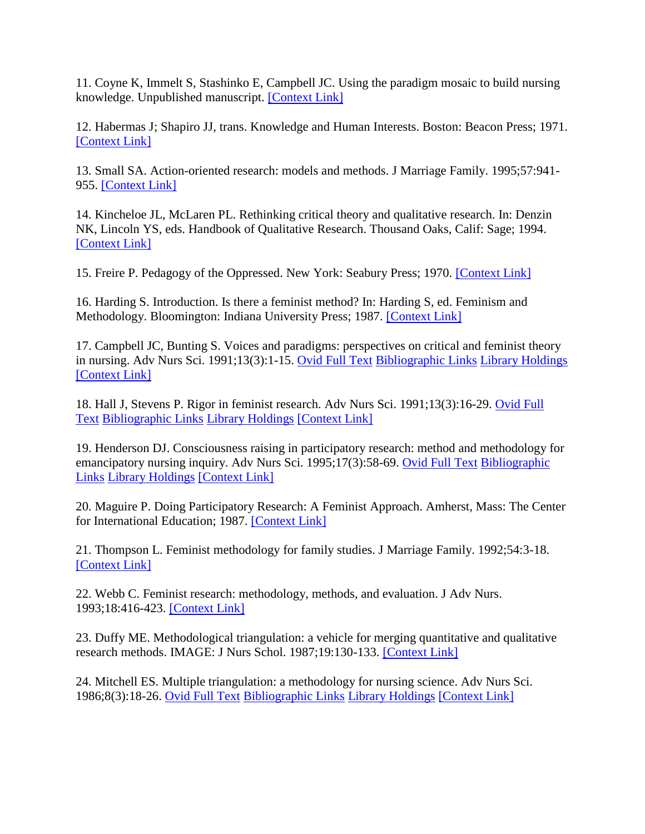11. Coyne K, Immelt S, Stashinko E, Campbell JC. Using the paradigm mosaic to build nursing knowledge. Unpublished manuscript. [\[Context Link\]](http://ovidsp.tx.ovid.com.proxy2.lib.uwo.ca:2048/spb/ovidweb.cgi#20)

12. Habermas J; Shapiro JJ, trans. Knowledge and Human Interests. Boston: Beacon Press; 1971. [\[Context Link\]](http://ovidsp.tx.ovid.com.proxy2.lib.uwo.ca:2048/spb/ovidweb.cgi#21)

13. Small SA. Action-oriented research: models and methods. J Marriage Family. 1995;57:941- 955. [\[Context Link\]](http://ovidsp.tx.ovid.com.proxy2.lib.uwo.ca:2048/spb/ovidweb.cgi#21)

14. Kincheloe JL, McLaren PL. Rethinking critical theory and qualitative research. In: Denzin NK, Lincoln YS, eds. Handbook of Qualitative Research. Thousand Oaks, Calif: Sage; 1994. [\[Context Link\]](http://ovidsp.tx.ovid.com.proxy2.lib.uwo.ca:2048/spb/ovidweb.cgi#22)

15. Freire P. Pedagogy of the Oppressed. New York: Seabury Press; 1970. [\[Context Link\]](http://ovidsp.tx.ovid.com.proxy2.lib.uwo.ca:2048/spb/ovidweb.cgi#22)

16. Harding S. Introduction. Is there a feminist method? In: Harding S, ed. Feminism and Methodology. Bloomington: Indiana University Press; 1987. [\[Context Link\]](http://ovidsp.tx.ovid.com.proxy2.lib.uwo.ca:2048/spb/ovidweb.cgi#25)

17. Campbell JC, Bunting S. Voices and paradigms: perspectives on critical and feminist theory in nursing. Adv Nurs Sci. 1991;13(3):1-15. [Ovid Full Text](http://ovidsp.tx.ovid.com.proxy2.lib.uwo.ca:2048/spb/ovidweb.cgi?Link+Set+Ref=00012272-199809000-00002|00012272_1991_13_1_campbell_perspectives_%7c00012272-199809000-00002%23xpointer%28id%28R17-2%29%29%7c10%7chttp%3a%2f%2facs.tx.ovid.com%2facs%2f.5c103e04ef61e5550ce593f7adca05af0334ad3d6d38a1f400230673b342cfb54bea84c4ae6dba622ed2fc4eb4096d3967.gif%7covftdb%7c00012272-199103000-00004&P=110&S=ICEOFPPHKMDDKDNONCILICGJAGPPAA00&WebLinkReturn=Full+Text%3dL%7cS.sh.15.16%7c0%7c00012272-199809000-00002) [Bibliographic Links](http://ovidsp.tx.ovid.com.proxy2.lib.uwo.ca:2048/spb/ovidweb.cgi?Link+Set+Ref=00012272-199809000-00002|00012272_1991_13_1_campbell_perspectives_%7c00012272-199809000-00002%23xpointer%28id%28R17-2%29%29%7c60%7chttp%3a%2f%2facs.tx.ovid.com%2facs%2f.14038a58de48ffa86f4ee5c84b99ffb3634b4b40918581081964493cf03a9948ecbddf0655fc0acf8b.gif%7covftdb%7c00012272-199103000-00004&P=110&S=ICEOFPPHKMDDKDNONCILICGJAGPPAA00&WebLinkReturn=Full+Text%3dL%7cS.sh.15.16%7c0%7c00012272-199809000-00002) [Library Holdings](http://ovidsp.tx.ovid.com.proxy2.lib.uwo.ca:2048/spb/ovidweb.cgi?Link+Set+Ref=00012272-199809000-00002|00012272_1991_13_1_campbell_perspectives_%7c00012272-199809000-00002%23xpointer%28id%28R17-2%29%29%7c90%7chttp%3a%2f%2facs.tx.ovid.com%2facs%2f.8743d5299570bc97ef1f5b86f319dbf259ae8e835f5f38c7ec311558ff60982f92d6f745759defaf67.gif%7covftdb%7c00012272-199103000-00004&P=110&S=ICEOFPPHKMDDKDNONCILICGJAGPPAA00&WebLinkReturn=Full+Text%3dL%7cS.sh.15.16%7c0%7c00012272-199809000-00002) [\[Context Link\]](http://ovidsp.tx.ovid.com.proxy2.lib.uwo.ca:2048/spb/ovidweb.cgi#26)

18. Hall J, Stevens P. Rigor in feminist research. Adv Nurs Sci. 1991;13(3):16-29. [Ovid Full](http://ovidsp.tx.ovid.com.proxy2.lib.uwo.ca:2048/spb/ovidweb.cgi?Link+Set+Ref=00012272-199809000-00002|00012272_1991_13_16_hall_feminist_%7c00012272-199809000-00002%23xpointer%28id%28R18-2%29%29%7c10%7chttp%3a%2f%2facs.tx.ovid.com%2facs%2f.5c103e04ef61e5550ce593f7adca05af0334ad3d6d38a1f400230673b342cfb54bea84c4ae6dba622ed2fc4eb4096d3967.gif%7covftdb%7c00012272-199103000-00005&P=111&S=ICEOFPPHKMDDKDNONCILICGJAGPPAA00&WebLinkReturn=Full+Text%3dL%7cS.sh.15.16%7c0%7c00012272-199809000-00002)  [Text](http://ovidsp.tx.ovid.com.proxy2.lib.uwo.ca:2048/spb/ovidweb.cgi?Link+Set+Ref=00012272-199809000-00002|00012272_1991_13_16_hall_feminist_%7c00012272-199809000-00002%23xpointer%28id%28R18-2%29%29%7c10%7chttp%3a%2f%2facs.tx.ovid.com%2facs%2f.5c103e04ef61e5550ce593f7adca05af0334ad3d6d38a1f400230673b342cfb54bea84c4ae6dba622ed2fc4eb4096d3967.gif%7covftdb%7c00012272-199103000-00005&P=111&S=ICEOFPPHKMDDKDNONCILICGJAGPPAA00&WebLinkReturn=Full+Text%3dL%7cS.sh.15.16%7c0%7c00012272-199809000-00002) [Bibliographic Links](http://ovidsp.tx.ovid.com.proxy2.lib.uwo.ca:2048/spb/ovidweb.cgi?Link+Set+Ref=00012272-199809000-00002|00012272_1991_13_16_hall_feminist_%7c00012272-199809000-00002%23xpointer%28id%28R18-2%29%29%7c60%7chttp%3a%2f%2facs.tx.ovid.com%2facs%2f.14038a58de48ffa86f4ee5c84b99ffb3634b4b40918581081964493cf03a9948ecbddf0655fc0acf8b.gif%7covftdb%7c00012272-199103000-00005&P=111&S=ICEOFPPHKMDDKDNONCILICGJAGPPAA00&WebLinkReturn=Full+Text%3dL%7cS.sh.15.16%7c0%7c00012272-199809000-00002) [Library Holdings](http://ovidsp.tx.ovid.com.proxy2.lib.uwo.ca:2048/spb/ovidweb.cgi?Link+Set+Ref=00012272-199809000-00002|00012272_1991_13_16_hall_feminist_%7c00012272-199809000-00002%23xpointer%28id%28R18-2%29%29%7c90%7chttp%3a%2f%2facs.tx.ovid.com%2facs%2f.8743d5299570bc97ef1f5b86f319dbf259ae8e835f5f38c7ec311558ff60982f92d6f745759defaf67.gif%7covftdb%7c00012272-199103000-00005&P=111&S=ICEOFPPHKMDDKDNONCILICGJAGPPAA00&WebLinkReturn=Full+Text%3dL%7cS.sh.15.16%7c0%7c00012272-199809000-00002) [\[Context Link\]](http://ovidsp.tx.ovid.com.proxy2.lib.uwo.ca:2048/spb/ovidweb.cgi#26)

19. Henderson DJ. Consciousness raising in participatory research: method and methodology for emancipatory nursing inquiry. Adv Nurs Sci. 1995;17(3):58-69. [Ovid Full Text](http://ovidsp.tx.ovid.com.proxy2.lib.uwo.ca:2048/spb/ovidweb.cgi?Link+Set+Ref=00012272-199809000-00002|00012272_1995_17_58_henderson_consciousness_%7c00012272-199809000-00002%23xpointer%28id%28R19-2%29%29%7c10%7chttp%3a%2f%2facs.tx.ovid.com%2facs%2f.5c103e04ef61e5550ce593f7adca05af0334ad3d6d38a1f400230673b342cfb54bea84c4ae6dba622ed2fc4eb4096d3967.gif%7covftdb%7c00012272-199503000-00007&P=112&S=ICEOFPPHKMDDKDNONCILICGJAGPPAA00&WebLinkReturn=Full+Text%3dL%7cS.sh.15.16%7c0%7c00012272-199809000-00002) Bibliographic [Links](http://ovidsp.tx.ovid.com.proxy2.lib.uwo.ca:2048/spb/ovidweb.cgi?Link+Set+Ref=00012272-199809000-00002|00012272_1995_17_58_henderson_consciousness_%7c00012272-199809000-00002%23xpointer%28id%28R19-2%29%29%7c60%7chttp%3a%2f%2facs.tx.ovid.com%2facs%2f.14038a58de48ffa86f4ee5c84b99ffb3634b4b40918581081964493cf03a9948ecbddf0655fc0acf8b.gif%7covftdb%7c00012272-199503000-00007&P=112&S=ICEOFPPHKMDDKDNONCILICGJAGPPAA00&WebLinkReturn=Full+Text%3dL%7cS.sh.15.16%7c0%7c00012272-199809000-00002) [Library Holdings](http://ovidsp.tx.ovid.com.proxy2.lib.uwo.ca:2048/spb/ovidweb.cgi?Link+Set+Ref=00012272-199809000-00002|00012272_1995_17_58_henderson_consciousness_%7c00012272-199809000-00002%23xpointer%28id%28R19-2%29%29%7c90%7chttp%3a%2f%2facs.tx.ovid.com%2facs%2f.8743d5299570bc97ef1f5b86f319dbf259ae8e835f5f38c7ec311558ff60982f92d6f745759defaf67.gif%7covftdb%7c00012272-199503000-00007&P=112&S=ICEOFPPHKMDDKDNONCILICGJAGPPAA00&WebLinkReturn=Full+Text%3dL%7cS.sh.15.16%7c0%7c00012272-199809000-00002) [\[Context Link\]](http://ovidsp.tx.ovid.com.proxy2.lib.uwo.ca:2048/spb/ovidweb.cgi#26)

20. Maguire P. Doing Participatory Research: A Feminist Approach. Amherst, Mass: The Center for International Education; 1987. [\[Context Link\]](http://ovidsp.tx.ovid.com.proxy2.lib.uwo.ca:2048/spb/ovidweb.cgi#26)

21. Thompson L. Feminist methodology for family studies. J Marriage Family. 1992;54:3-18. [\[Context Link\]](http://ovidsp.tx.ovid.com.proxy2.lib.uwo.ca:2048/spb/ovidweb.cgi#26)

22. Webb C. Feminist research: methodology, methods, and evaluation. J Adv Nurs. 1993;18:416-423. [\[Context Link\]](http://ovidsp.tx.ovid.com.proxy2.lib.uwo.ca:2048/spb/ovidweb.cgi#26)

23. Duffy ME. Methodological triangulation: a vehicle for merging quantitative and qualitative research methods. IMAGE: J Nurs Schol. 1987;19:130-133. [\[Context Link\]](http://ovidsp.tx.ovid.com.proxy2.lib.uwo.ca:2048/spb/ovidweb.cgi#35)

24. Mitchell ES. Multiple triangulation: a methodology for nursing science. Adv Nurs Sci. 1986;8(3):18-26. [Ovid Full Text](http://ovidsp.tx.ovid.com.proxy2.lib.uwo.ca:2048/spb/ovidweb.cgi?Link+Set+Ref=00012272-199809000-00002|00012272_1986_8_18_mitchell_triangulation_%7c00012272-199809000-00002%23xpointer%28id%28R24-2%29%29%7c10%7chttp%3a%2f%2facs.tx.ovid.com%2facs%2f.5c103e04ef61e5550ce593f7adca05af0334ad3d6d38a1f400230673b342cfb54bea84c4ae6dba622ed2fc4eb4096d3967.gif%7covftdb%7c00012272-198604000-00004&P=117&S=ICEOFPPHKMDDKDNONCILICGJAGPPAA00&WebLinkReturn=Full+Text%3dL%7cS.sh.15.16%7c0%7c00012272-199809000-00002) [Bibliographic Links](http://ovidsp.tx.ovid.com.proxy2.lib.uwo.ca:2048/spb/ovidweb.cgi?Link+Set+Ref=00012272-199809000-00002|00012272_1986_8_18_mitchell_triangulation_%7c00012272-199809000-00002%23xpointer%28id%28R24-2%29%29%7c60%7chttp%3a%2f%2facs.tx.ovid.com%2facs%2f.14038a58de48ffa86f4ee5c84b99ffb3634b4b40918581081964493cf03a9948ecbddf0655fc0acf8b.gif%7covftdb%7c00012272-198604000-00004&P=117&S=ICEOFPPHKMDDKDNONCILICGJAGPPAA00&WebLinkReturn=Full+Text%3dL%7cS.sh.15.16%7c0%7c00012272-199809000-00002) [Library Holdings](http://ovidsp.tx.ovid.com.proxy2.lib.uwo.ca:2048/spb/ovidweb.cgi?Link+Set+Ref=00012272-199809000-00002|00012272_1986_8_18_mitchell_triangulation_%7c00012272-199809000-00002%23xpointer%28id%28R24-2%29%29%7c90%7chttp%3a%2f%2facs.tx.ovid.com%2facs%2f.8743d5299570bc97ef1f5b86f319dbf259ae8e835f5f38c7ec311558ff60982f92d6f745759defaf67.gif%7covftdb%7c00012272-198604000-00004&P=117&S=ICEOFPPHKMDDKDNONCILICGJAGPPAA00&WebLinkReturn=Full+Text%3dL%7cS.sh.15.16%7c0%7c00012272-199809000-00002) [\[Context Link\]](http://ovidsp.tx.ovid.com.proxy2.lib.uwo.ca:2048/spb/ovidweb.cgi#35)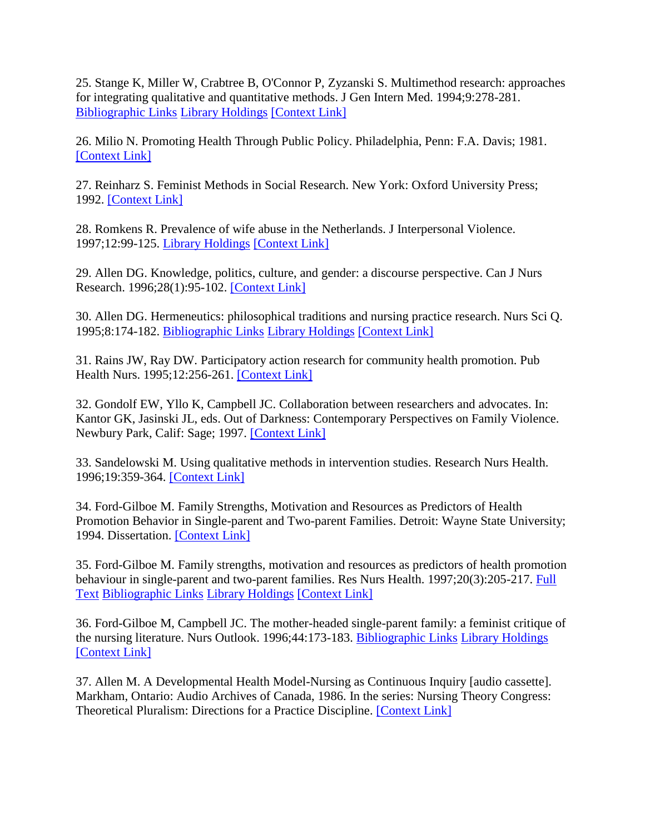25. Stange K, Miller W, Crabtree B, O'Connor P, Zyzanski S. Multimethod research: approaches for integrating qualitative and quantitative methods. J Gen Intern Med. 1994;9:278-281. [Bibliographic Links](http://ovidsp.tx.ovid.com.proxy2.lib.uwo.ca:2048/spb/ovidweb.cgi?Link+Set+Ref=00012272-199809000-00002|00005125_1994_9_278_stange_quantitative_%7c00012272-199809000-00002%23xpointer%28id%28R25-2%29%29%7c60%7chttp%3a%2f%2facs.tx.ovid.com%2facs%2f.14038a58de48ffa86f4ee5c84b99ffb3634b4b40918581081964493cf03a9948ecbddf0655fc0acf8b.gif%7covftdb%7c&P=118&S=ICEOFPPHKMDDKDNONCILICGJAGPPAA00&WebLinkReturn=Full+Text%3dL%7cS.sh.15.16%7c0%7c00012272-199809000-00002) [Library Holdings](http://ovidsp.tx.ovid.com.proxy2.lib.uwo.ca:2048/spb/ovidweb.cgi?Link+Set+Ref=00012272-199809000-00002|00005125_1994_9_278_stange_quantitative_%7c00012272-199809000-00002%23xpointer%28id%28R25-2%29%29%7c90%7chttp%3a%2f%2facs.tx.ovid.com%2facs%2f.8743d5299570bc97ef1f5b86f319dbf259ae8e835f5f38c7ec311558ff60982f92d6f745759defaf67.gif%7covftdb%7c&P=118&S=ICEOFPPHKMDDKDNONCILICGJAGPPAA00&WebLinkReturn=Full+Text%3dL%7cS.sh.15.16%7c0%7c00012272-199809000-00002) [\[Context Link\]](http://ovidsp.tx.ovid.com.proxy2.lib.uwo.ca:2048/spb/ovidweb.cgi#35)

26. Milio N. Promoting Health Through Public Policy. Philadelphia, Penn: F.A. Davis; 1981. [\[Context Link\]](http://ovidsp.tx.ovid.com.proxy2.lib.uwo.ca:2048/spb/ovidweb.cgi#38)

27. Reinharz S. Feminist Methods in Social Research. New York: Oxford University Press; 1992. [\[Context Link\]](http://ovidsp.tx.ovid.com.proxy2.lib.uwo.ca:2048/spb/ovidweb.cgi#39)

28. Romkens R. Prevalence of wife abuse in the Netherlands. J Interpersonal Violence. 1997;12:99-125. [Library Holdings](http://ovidsp.tx.ovid.com.proxy2.lib.uwo.ca:2048/spb/ovidweb.cgi?Link+Set+Ref=00012272-199809000-00002|00001203_1997_12_99_romkens_netherlands_%7c00012272-199809000-00002%23xpointer%28id%28R28-2%29%29%7c90%7chttp%3a%2f%2facs.tx.ovid.com%2facs%2f.8743d5299570bc97ef1f5b86f319dbf259ae8e835f5f38c7ec311558ff60982f92d6f745759defaf67.gif%7covftdb%7c&P=121&S=ICEOFPPHKMDDKDNONCILICGJAGPPAA00&WebLinkReturn=Full+Text%3dL%7cS.sh.15.16%7c0%7c00012272-199809000-00002) [\[Context Link\]](http://ovidsp.tx.ovid.com.proxy2.lib.uwo.ca:2048/spb/ovidweb.cgi#39)

29. Allen DG. Knowledge, politics, culture, and gender: a discourse perspective. Can J Nurs Research. 1996;28(1):95-102. [\[Context Link\]](http://ovidsp.tx.ovid.com.proxy2.lib.uwo.ca:2048/spb/ovidweb.cgi#39)

30. Allen DG. Hermeneutics: philosophical traditions and nursing practice research. Nurs Sci Q. 1995;8:174-182. [Bibliographic Links](http://ovidsp.tx.ovid.com.proxy2.lib.uwo.ca:2048/spb/ovidweb.cgi?Link+Set+Ref=00012272-199809000-00002|00006236_1995_8_174_allen_philosophical_%7c00012272-199809000-00002%23xpointer%28id%28R30-2%29%29%7c60%7chttp%3a%2f%2facs.tx.ovid.com%2facs%2f.14038a58de48ffa86f4ee5c84b99ffb3634b4b40918581081964493cf03a9948ecbddf0655fc0acf8b.gif%7covftdb%7c&P=123&S=ICEOFPPHKMDDKDNONCILICGJAGPPAA00&WebLinkReturn=Full+Text%3dL%7cS.sh.15.16%7c0%7c00012272-199809000-00002) [Library Holdings](http://ovidsp.tx.ovid.com.proxy2.lib.uwo.ca:2048/spb/ovidweb.cgi?Link+Set+Ref=00012272-199809000-00002|00006236_1995_8_174_allen_philosophical_%7c00012272-199809000-00002%23xpointer%28id%28R30-2%29%29%7c90%7chttp%3a%2f%2facs.tx.ovid.com%2facs%2f.8743d5299570bc97ef1f5b86f319dbf259ae8e835f5f38c7ec311558ff60982f92d6f745759defaf67.gif%7covftdb%7c&P=123&S=ICEOFPPHKMDDKDNONCILICGJAGPPAA00&WebLinkReturn=Full+Text%3dL%7cS.sh.15.16%7c0%7c00012272-199809000-00002) [\[Context Link\]](http://ovidsp.tx.ovid.com.proxy2.lib.uwo.ca:2048/spb/ovidweb.cgi#39)

31. Rains JW, Ray DW. Participatory action research for community health promotion. Pub Health Nurs. 1995;12:256-261. [\[Context Link\]](http://ovidsp.tx.ovid.com.proxy2.lib.uwo.ca:2048/spb/ovidweb.cgi#39)

32. Gondolf EW, Yllo K, Campbell JC. Collaboration between researchers and advocates. In: Kantor GK, Jasinski JL, eds. Out of Darkness: Contemporary Perspectives on Family Violence. Newbury Park, Calif: Sage; 1997. [\[Context Link\]](http://ovidsp.tx.ovid.com.proxy2.lib.uwo.ca:2048/spb/ovidweb.cgi#39)

33. Sandelowski M. Using qualitative methods in intervention studies. Research Nurs Health. 1996;19:359-364. [\[Context Link\]](http://ovidsp.tx.ovid.com.proxy2.lib.uwo.ca:2048/spb/ovidweb.cgi#47)

34. Ford-Gilboe M. Family Strengths, Motivation and Resources as Predictors of Health Promotion Behavior in Single-parent and Two-parent Families. Detroit: Wayne State University; 1994. Dissertation. [\[Context](http://ovidsp.tx.ovid.com.proxy2.lib.uwo.ca:2048/spb/ovidweb.cgi#51) Link]

35. Ford-Gilboe M. Family strengths, motivation and resources as predictors of health promotion behaviour in single-parent and two-parent families. Res Nurs Health. 1997;20(3):205-217. Full [Text](http://ovidsp.tx.ovid.com.proxy2.lib.uwo.ca:2048/spb/ovidweb.cgi?Link+Set+Ref=00012272-199809000-00002|00007001_1997_20_205_gilboe_motivation_%7c00012272-199809000-00002%23xpointer%28id%28R35-2%29%29%7c20%7chttp%3a%2f%2facs.tx.ovid.com%2facs%2f.1bf8adb7a7d2bcf945c064b1975f7ffe4509c3f5b3dcd5d292f0437bead4e0571d5fae72f2525a4d78.gif%7covftdb%7c&P=128&S=ICEOFPPHKMDDKDNONCILICGJAGPPAA00&WebLinkReturn=Full+Text%3dL%7cS.sh.15.16%7c0%7c00012272-199809000-00002) [Bibliographic Links](http://ovidsp.tx.ovid.com.proxy2.lib.uwo.ca:2048/spb/ovidweb.cgi?Link+Set+Ref=00012272-199809000-00002|00007001_1997_20_205_gilboe_motivation_%7c00012272-199809000-00002%23xpointer%28id%28R35-2%29%29%7c60%7chttp%3a%2f%2facs.tx.ovid.com%2facs%2f.14038a58de48ffa86f4ee5c84b99ffb3634b4b40918581081964493cf03a9948ecbddf0655fc0acf8b.gif%7covftdb%7c&P=128&S=ICEOFPPHKMDDKDNONCILICGJAGPPAA00&WebLinkReturn=Full+Text%3dL%7cS.sh.15.16%7c0%7c00012272-199809000-00002) [Library Holdings](http://ovidsp.tx.ovid.com.proxy2.lib.uwo.ca:2048/spb/ovidweb.cgi?Link+Set+Ref=00012272-199809000-00002|00007001_1997_20_205_gilboe_motivation_%7c00012272-199809000-00002%23xpointer%28id%28R35-2%29%29%7c90%7chttp%3a%2f%2facs.tx.ovid.com%2facs%2f.8743d5299570bc97ef1f5b86f319dbf259ae8e835f5f38c7ec311558ff60982f92d6f745759defaf67.gif%7covftdb%7c&P=128&S=ICEOFPPHKMDDKDNONCILICGJAGPPAA00&WebLinkReturn=Full+Text%3dL%7cS.sh.15.16%7c0%7c00012272-199809000-00002) [\[Context Link\]](http://ovidsp.tx.ovid.com.proxy2.lib.uwo.ca:2048/spb/ovidweb.cgi#51)

36. Ford-Gilboe M, Campbell JC. The mother-headed single-parent family: a feminist critique of the nursing literature. Nurs Outlook. 1996;44:173-183. [Bibliographic Links](http://ovidsp.tx.ovid.com.proxy2.lib.uwo.ca:2048/spb/ovidweb.cgi?Link+Set+Ref=00012272-199809000-00002|00006197_1996_44_173_gilboe_literature_%7c00012272-199809000-00002%23xpointer%28id%28R36-2%29%29%7c60%7chttp%3a%2f%2facs.tx.ovid.com%2facs%2f.14038a58de48ffa86f4ee5c84b99ffb3634b4b40918581081964493cf03a9948ecbddf0655fc0acf8b.gif%7covftdb%7c&P=129&S=ICEOFPPHKMDDKDNONCILICGJAGPPAA00&WebLinkReturn=Full+Text%3dL%7cS.sh.15.16%7c0%7c00012272-199809000-00002) [Library Holdings](http://ovidsp.tx.ovid.com.proxy2.lib.uwo.ca:2048/spb/ovidweb.cgi?Link+Set+Ref=00012272-199809000-00002|00006197_1996_44_173_gilboe_literature_%7c00012272-199809000-00002%23xpointer%28id%28R36-2%29%29%7c90%7chttp%3a%2f%2facs.tx.ovid.com%2facs%2f.8743d5299570bc97ef1f5b86f319dbf259ae8e835f5f38c7ec311558ff60982f92d6f745759defaf67.gif%7covftdb%7c&P=129&S=ICEOFPPHKMDDKDNONCILICGJAGPPAA00&WebLinkReturn=Full+Text%3dL%7cS.sh.15.16%7c0%7c00012272-199809000-00002) [\[Context Link\]](http://ovidsp.tx.ovid.com.proxy2.lib.uwo.ca:2048/spb/ovidweb.cgi#51)

37. Allen M. A Developmental Health Model-Nursing as Continuous Inquiry [audio cassette]. Markham, Ontario: Audio Archives of Canada, 1986. In the series: Nursing Theory Congress: Theoretical Pluralism: Directions for a Practice Discipline. [\[Context Link\]](http://ovidsp.tx.ovid.com.proxy2.lib.uwo.ca:2048/spb/ovidweb.cgi#51)